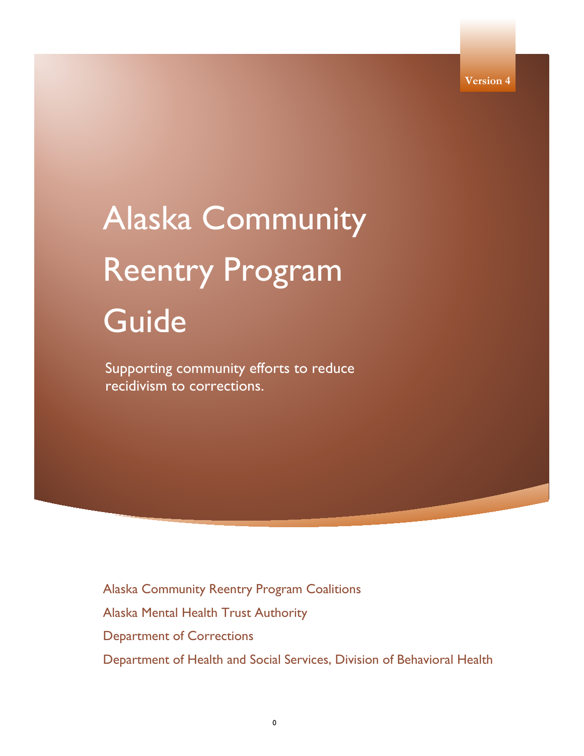# Alaska Community Reentry Program Guide

Supporting community efforts to reduce recidivism to corrections.

Alaska Community Reentry Program Coalitions

Alaska Mental Health Trust Authority

Department of Corrections

Department of Health and Social Services, Division of Behavioral Health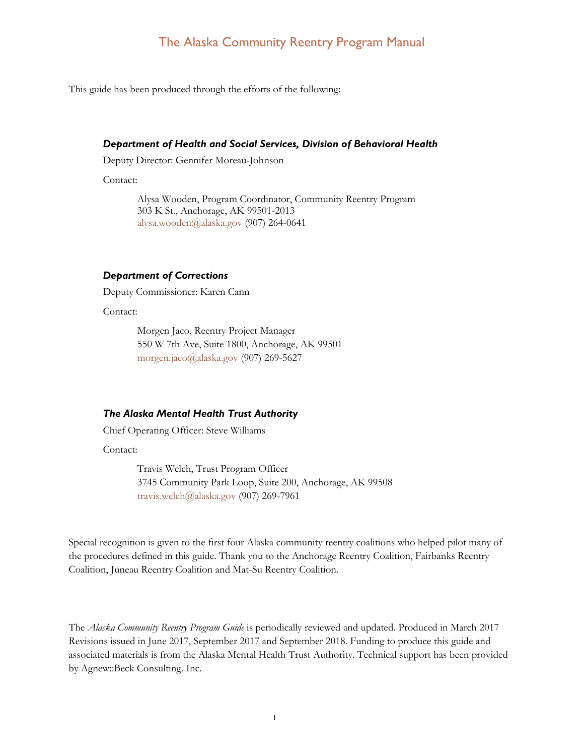This guide has been produced through the efforts of the following:

#### *Department of Health and Social Services, Division of Behavioral Health*

Deputy Director: Gennifer Moreau-Johnson

Contact:

Alysa Wooden, Program Coordinator, Community Reentry Program 303 K St., Anchorage, AK 99501-2013 [alysa.wooden@alaska.gov](mailto:alysa.wooden@alaska.gov) (907) 264-0641

#### *Department of Corrections*

Deputy Commissioner: Karen Cann

Contact:

Morgen Jaco, Reentry Project Manager 550 W 7th Ave, Suite 1800, Anchorage, AK 99501 [morgen.jaco@alaska.gov](mailto:morgen.jaco@alaska.gov) (907) 269-5627

#### *The Alaska Mental Health Trust Authority*

Chief Operating Officer: Steve Williams

Contact:

Travis Welch, Trust Program Officer 3745 Community Park Loop, Suite 200, Anchorage, AK 99508 [travis.welch@alaska.gov](mailto:travis.welch@alaska.gov) (907) 269-7961

Special recognition is given to the first four Alaska community reentry coalitions who helped pilot many of the procedures defined in this guide. Thank you to the Anchorage Reentry Coalition, Fairbanks Reentry Coalition, Juneau Reentry Coalition and Mat-Su Reentry Coalition.

The *Alaska Community Reentry Program Guide* is periodically reviewed and updated. Produced in March 2017 Revisions issued in June 2017, September 2017 and September 2018. Funding to produce this guide and associated materials is from the Alaska Mental Health Trust Authority. Technical support has been provided by Agnew::Beck Consulting. Inc.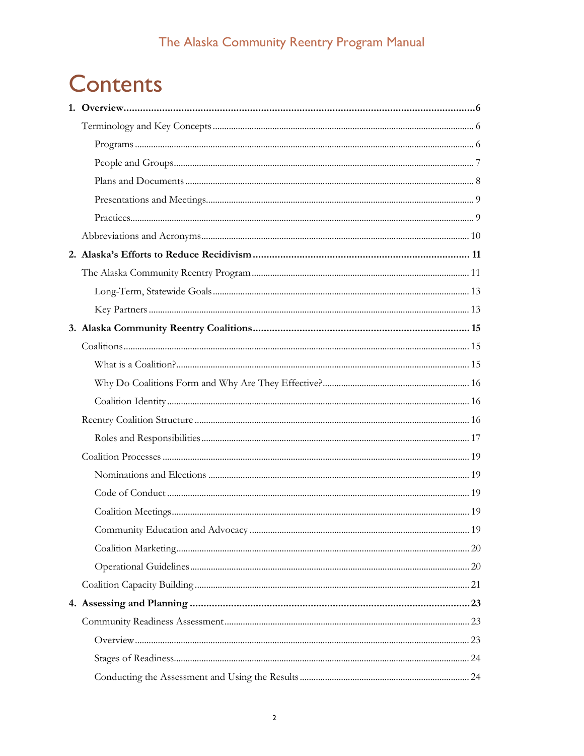# **Contents**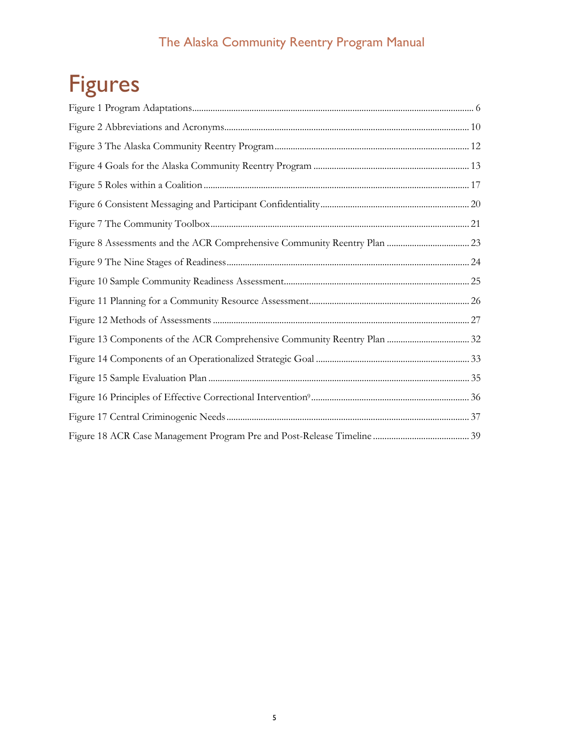# Figures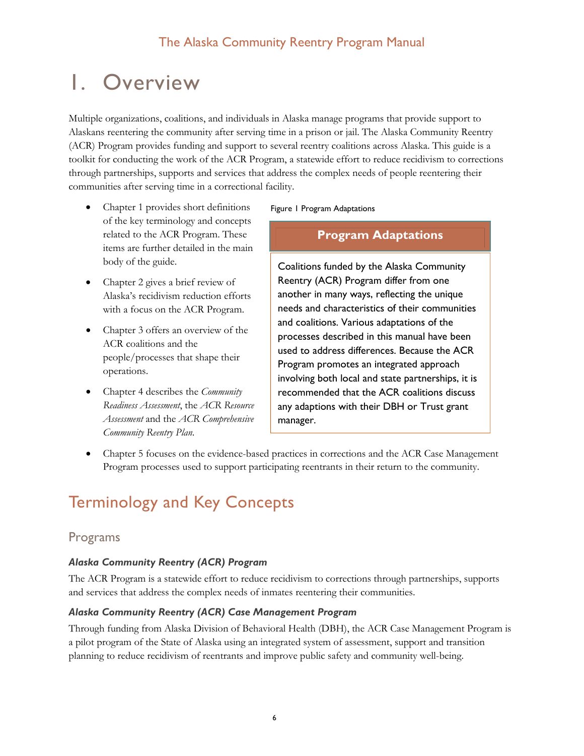# <span id="page-6-0"></span>1. Overview

Multiple organizations, coalitions, and individuals in Alaska manage programs that provide support to Alaskans reentering the community after serving time in a prison or jail. The Alaska Community Reentry (ACR) Program provides funding and support to several reentry coalitions across Alaska. This guide is a toolkit for conducting the work of the ACR Program, a statewide effort to reduce recidivism to corrections through partnerships, supports and services that address the complex needs of people reentering their communities after serving time in a correctional facility.

- Chapter 1 provides short definitions of the key terminology and concepts related to the ACR Program. These items are further detailed in the main body of the guide.
- Chapter 2 gives a brief review of Alaska's recidivism reduction efforts with a focus on the ACR Program.
- Chapter 3 offers an overview of the ACR coalitions and the people/processes that shape their operations.
- Chapter 4 describes the *Community Readiness Assessment*, the *ACR Resource Assessment* and the *ACR Comprehensive Community Reentry Plan*.

Figure 1 Program Adaptations

#### **Program Adaptations**

Coalitions funded by the Alaska Community Reentry (ACR) Program differ from one another in many ways, reflecting the unique needs and characteristics of their communities and coalitions. Various adaptations of the processes described in this manual have been used to address differences. Because the ACR Program promotes an integrated approach involving both local and state partnerships, it is recommended that the ACR coalitions discuss any adaptions with their DBH or Trust grant manager.

• Chapter 5 focuses on the evidence-based practices in corrections and the ACR Case Management Program processes used to support participating reentrants in their return to the community.

# <span id="page-6-1"></span>Terminology and Key Concepts

## <span id="page-6-2"></span>Programs

#### *Alaska Community Reentry (ACR) Program*

The ACR Program is a statewide effort to reduce recidivism to corrections through partnerships, supports and services that address the complex needs of inmates reentering their communities.

#### *Alaska Community Reentry (ACR) Case Management Program*

Through funding from Alaska Division of Behavioral Health (DBH), the ACR Case Management Program is a pilot program of the State of Alaska using an integrated system of assessment, support and transition planning to reduce recidivism of reentrants and improve public safety and community well-being.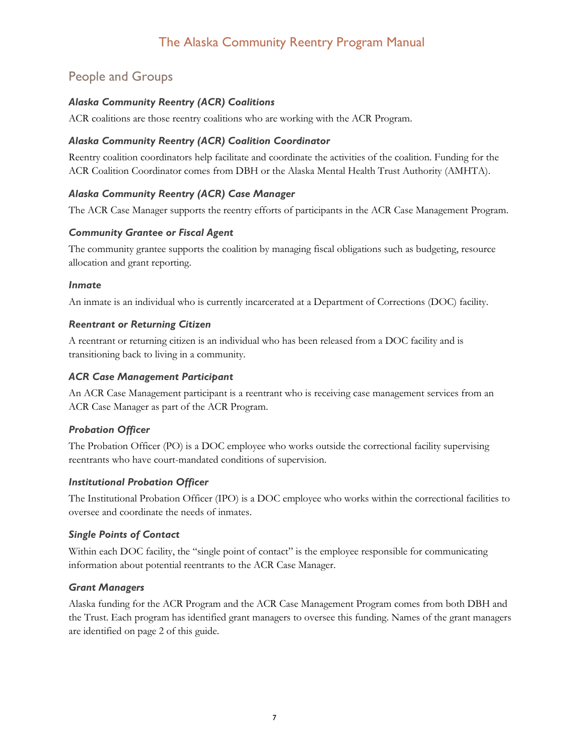# <span id="page-7-0"></span>People and Groups

## *Alaska Community Reentry (ACR) Coalitions*

ACR coalitions are those reentry coalitions who are working with the ACR Program.

#### *Alaska Community Reentry (ACR) Coalition Coordinator*

Reentry coalition coordinators help facilitate and coordinate the activities of the coalition. Funding for the ACR Coalition Coordinator comes from DBH or the Alaska Mental Health Trust Authority (AMHTA).

## *Alaska Community Reentry (ACR) Case Manager*

The ACR Case Manager supports the reentry efforts of participants in the ACR Case Management Program.

#### *Community Grantee or Fiscal Agent*

The community grantee supports the coalition by managing fiscal obligations such as budgeting, resource allocation and grant reporting.

#### *Inmate*

An inmate is an individual who is currently incarcerated at a Department of Corrections (DOC) facility.

#### *Reentrant or Returning Citizen*

A reentrant or returning citizen is an individual who has been released from a DOC facility and is transitioning back to living in a community.

#### *ACR Case Management Participant*

An ACR Case Management participant is a reentrant who is receiving case management services from an ACR Case Manager as part of the ACR Program.

#### *Probation Officer*

The Probation Officer (PO) is a DOC employee who works outside the correctional facility supervising reentrants who have court-mandated conditions of supervision.

#### *Institutional Probation Officer*

The Institutional Probation Officer (IPO) is a DOC employee who works within the correctional facilities to oversee and coordinate the needs of inmates.

#### *Single Points of Contact*

Within each DOC facility, the "single point of contact" is the employee responsible for communicating information about potential reentrants to the ACR Case Manager.

#### *Grant Managers*

Alaska funding for the ACR Program and the ACR Case Management Program comes from both DBH and the Trust. Each program has identified grant managers to oversee this funding. Names of the grant managers are identified on page 2 of this guide.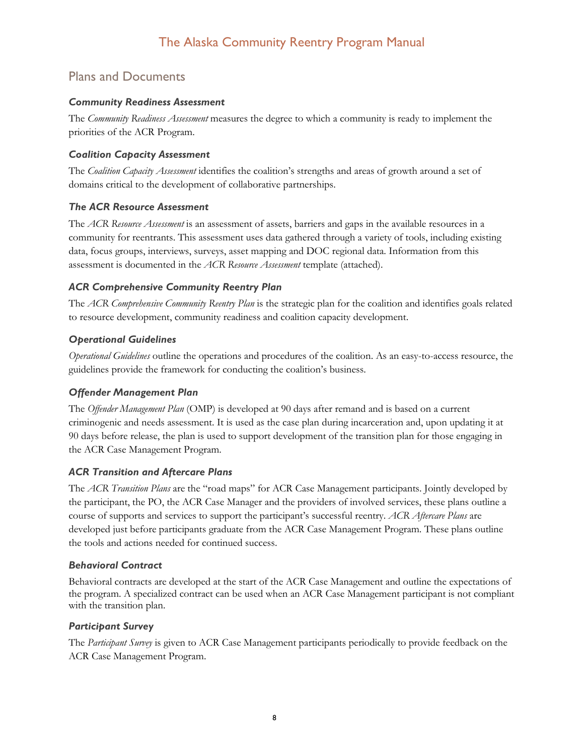# <span id="page-8-0"></span>Plans and Documents

#### *Community Readiness Assessment*

The *Community Readiness Assessment* measures the degree to which a community is ready to implement the priorities of the ACR Program.

## *Coalition Capacity Assessment*

The *Coalition Capacity Assessment* identifies the coalition's strengths and areas of growth around a set of domains critical to the development of collaborative partnerships.

## *The ACR Resource Assessment*

The *ACR Resource Assessment* is an assessment of assets, barriers and gaps in the available resources in a community for reentrants. This assessment uses data gathered through a variety of tools, including existing data, focus groups, interviews, surveys, asset mapping and DOC regional data. Information from this assessment is documented in the *ACR Resource Assessment* template (attached).

## *ACR Comprehensive Community Reentry Plan*

The *ACR Comprehensive Community Reentry Plan* is the strategic plan for the coalition and identifies goals related to resource development, community readiness and coalition capacity development.

## *Operational Guidelines*

*Operational Guidelines* outline the operations and procedures of the coalition. As an easy-to-access resource, the guidelines provide the framework for conducting the coalition's business.

#### *Offender Management Plan*

The *Offender Management Plan* (OMP) is developed at 90 days after remand and is based on a current criminogenic and needs assessment. It is used as the case plan during incarceration and, upon updating it at 90 days before release, the plan is used to support development of the transition plan for those engaging in the ACR Case Management Program.

#### *ACR Transition and Aftercare Plans*

The *ACR Transition Plans* are the "road maps" for ACR Case Management participants. Jointly developed by the participant, the PO, the ACR Case Manager and the providers of involved services, these plans outline a course of supports and services to support the participant's successful reentry. *ACR Aftercare Plans* are developed just before participants graduate from the ACR Case Management Program. These plans outline the tools and actions needed for continued success.

#### *Behavioral Contract*

Behavioral contracts are developed at the start of the ACR Case Management and outline the expectations of the program. A specialized contract can be used when an ACR Case Management participant is not compliant with the transition plan.

#### *Participant Survey*

The *Participant Survey* is given to ACR Case Management participants periodically to provide feedback on the ACR Case Management Program.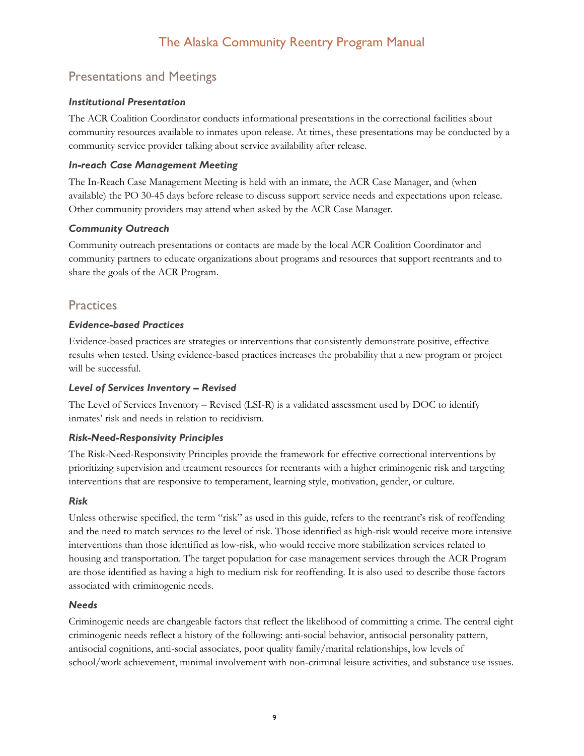# <span id="page-9-0"></span>Presentations and Meetings

## *Institutional Presentation*

The ACR Coalition Coordinator conducts informational presentations in the correctional facilities about community resources available to inmates upon release. At times, these presentations may be conducted by a community service provider talking about service availability after release.

## *In-reach Case Management Meeting*

The In-Reach Case Management Meeting is held with an inmate, the ACR Case Manager, and (when available) the PO 30-45 days before release to discuss support service needs and expectations upon release. Other community providers may attend when asked by the ACR Case Manager.

## *Community Outreach*

Community outreach presentations or contacts are made by the local ACR Coalition Coordinator and community partners to educate organizations about programs and resources that support reentrants and to share the goals of the ACR Program.

# <span id="page-9-1"></span>**Practices**

## *Evidence-based Practices*

Evidence-based practices are strategies or interventions that consistently demonstrate positive, effective results when tested. Using evidence-based practices increases the probability that a new program or project will be successful.

## *Level of Services Inventory – Revised*

The Level of Services Inventory – Revised (LSI-R) is a validated assessment used by DOC to identify inmates' risk and needs in relation to recidivism.

## *Risk-Need-Responsivity Principles*

The Risk-Need-Responsivity Principles provide the framework for effective correctional interventions by prioritizing supervision and treatment resources for reentrants with a higher criminogenic risk and targeting interventions that are responsive to temperament, learning style, motivation, gender, or culture.

## *Risk*

Unless otherwise specified, the term "risk" as used in this guide, refers to the reentrant's risk of reoffending and the need to match services to the level of risk. Those identified as high-risk would receive more intensive interventions than those identified as low-risk, who would receive more stabilization services related to housing and transportation. The target population for case management services through the ACR Program are those identified as having a high to medium risk for reoffending. It is also used to describe those factors associated with criminogenic needs.

## *Needs*

Criminogenic needs are changeable factors that reflect the likelihood of committing a crime. The central eight criminogenic needs reflect a history of the following: anti-social behavior, antisocial personality pattern, antisocial cognitions, anti-social associates, poor quality family/marital relationships, low levels of school/work achievement, minimal involvement with non-criminal leisure activities, and substance use issues.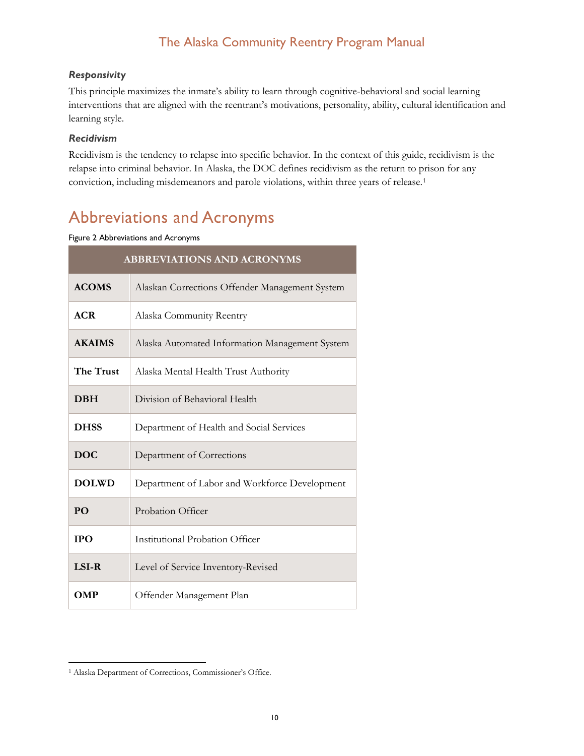#### *Responsivity*

This principle maximizes the inmate's ability to learn through cognitive-behavioral and social learning interventions that are aligned with the reentrant's motivations, personality, ability, cultural identification and learning style.

#### *Recidivism*

Recidivism is the tendency to relapse into specific behavior. In the context of this guide, recidivism is the relapse into criminal behavior. In Alaska, the DOC defines recidivism as the return to prison for any conviction, including misdemeanors and parole violations, within three years of release.[1](#page-10-2)

# <span id="page-10-0"></span>Abbreviations and Acronyms

#### <span id="page-10-1"></span>Figure 2 Abbreviations and Acronyms

| <b>ABBREVIATIONS AND ACRONYMS</b> |                                                |  |  |  |  |  |
|-----------------------------------|------------------------------------------------|--|--|--|--|--|
| <b>ACOMS</b>                      | Alaskan Corrections Offender Management System |  |  |  |  |  |
| <b>ACR</b>                        | Alaska Community Reentry                       |  |  |  |  |  |
| <b>AKAIMS</b>                     | Alaska Automated Information Management System |  |  |  |  |  |
| The Trust                         | Alaska Mental Health Trust Authority           |  |  |  |  |  |
| <b>DBH</b>                        | Division of Behavioral Health                  |  |  |  |  |  |
| <b>DHSS</b>                       | Department of Health and Social Services       |  |  |  |  |  |
| DOC.                              | Department of Corrections                      |  |  |  |  |  |
| <b>DOLWD</b>                      | Department of Labor and Workforce Development  |  |  |  |  |  |
| <b>PO</b>                         | Probation Officer                              |  |  |  |  |  |
| <b>IPO</b>                        | Institutional Probation Officer                |  |  |  |  |  |
| <b>LSI-R</b>                      | Level of Service Inventory-Revised             |  |  |  |  |  |
| <b>OMP</b>                        | Offender Management Plan                       |  |  |  |  |  |

<span id="page-10-2"></span> <sup>1</sup> Alaska Department of Corrections, Commissioner's Office.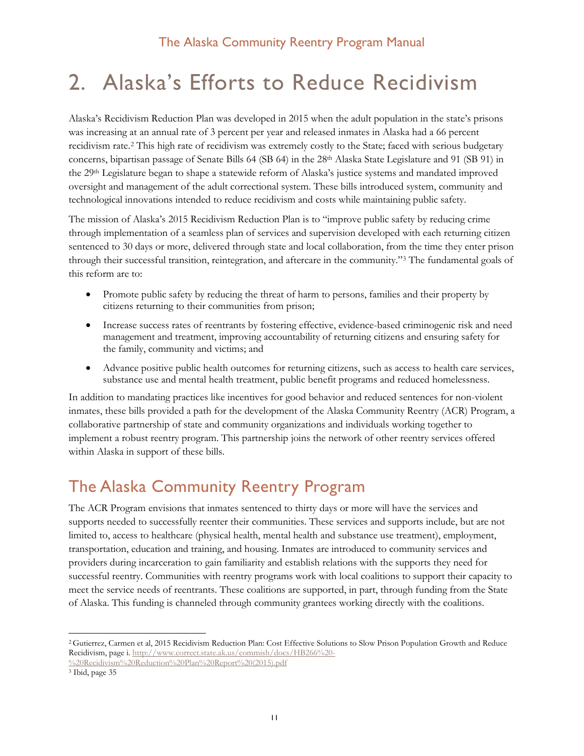# <span id="page-11-0"></span>2. Alaska's Efforts to Reduce Recidivism

Alaska's Recidivism Reduction Plan was developed in 2015 when the adult population in the state's prisons was increasing at an annual rate of 3 percent per year and released inmates in Alaska had a 66 percent recidivism rate.[2](#page-11-2) This high rate of recidivism was extremely costly to the State; faced with serious budgetary concerns, bipartisan passage of Senate Bills 64 (SB 64) in the 28th Alaska State Legislature and 91 (SB 91) in the 29th Legislature began to shape a statewide reform of Alaska's justice systems and mandated improved oversight and management of the adult correctional system. These bills introduced system, community and technological innovations intended to reduce recidivism and costs while maintaining public safety.

The mission of Alaska's 2015 Recidivism Reduction Plan is to "improve public safety by reducing crime through implementation of a seamless plan of services and supervision developed with each returning citizen sentenced to 30 days or more, delivered through state and local collaboration, from the time they enter prison through their successful transition, reintegration, and aftercare in the community."[3](#page-11-3) The fundamental goals of this reform are to:

- Promote public safety by reducing the threat of harm to persons, families and their property by citizens returning to their communities from prison;
- Increase success rates of reentrants by fostering effective, evidence-based criminogenic risk and need management and treatment, improving accountability of returning citizens and ensuring safety for the family, community and victims; and
- Advance positive public health outcomes for returning citizens, such as access to health care services, substance use and mental health treatment, public benefit programs and reduced homelessness.

In addition to mandating practices like incentives for good behavior and reduced sentences for non-violent inmates, these bills provided a path for the development of the Alaska Community Reentry (ACR) Program, a collaborative partnership of state and community organizations and individuals working together to implement a robust reentry program. This partnership joins the network of other reentry services offered within Alaska in support of these bills.

# <span id="page-11-1"></span>The Alaska Community Reentry Program

The ACR Program envisions that inmates sentenced to thirty days or more will have the services and supports needed to successfully reenter their communities. These services and supports include, but are not limited to, access to healthcare (physical health, mental health and substance use treatment), employment, transportation, education and training, and housing. Inmates are introduced to community services and providers during incarceration to gain familiarity and establish relations with the supports they need for successful reentry. Communities with reentry programs work with local coalitions to support their capacity to meet the service needs of reentrants. These coalitions are supported, in part, through funding from the State of Alaska. This funding is channeled through community grantees working directly with the coalitions.

<span id="page-11-2"></span> <sup>2</sup> Gutierrez, Carmen et al, 2015 Recidivism Reduction Plan: Cost Effective Solutions to Slow Prison Population Growth and Reduce Recidivism, page i. [http://www.correct.state.ak.us/commish/docs/HB266%20-](http://www.correct.state.ak.us/commish/docs/HB266%20-%20Recidivism%20Reduction%20Plan%20Report%20(2015).pdf)

[<sup>%20</sup>Recidivism%20Reduction%20Plan%20Report%20\(2015\).pdf](http://www.correct.state.ak.us/commish/docs/HB266%20-%20Recidivism%20Reduction%20Plan%20Report%20(2015).pdf)

<span id="page-11-3"></span><sup>3</sup> Ibid, page 35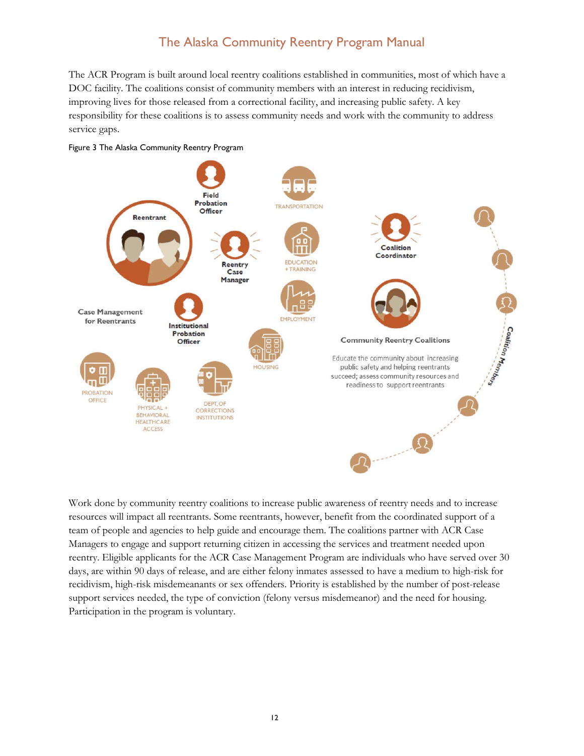The ACR Program is built around local reentry coalitions established in communities, most of which have a DOC facility. The coalitions consist of community members with an interest in reducing recidivism, improving lives for those released from a correctional facility, and increasing public safety. A key responsibility for these coalitions is to assess community needs and work with the community to address service gaps.



#### <span id="page-12-0"></span>Figure 3 The Alaska Community Reentry Program

Work done by community reentry coalitions to increase public awareness of reentry needs and to increase resources will impact all reentrants. Some reentrants, however, benefit from the coordinated support of a team of people and agencies to help guide and encourage them. The coalitions partner with ACR Case Managers to engage and support returning citizen in accessing the services and treatment needed upon reentry. Eligible applicants for the ACR Case Management Program are individuals who have served over 30 days, are within 90 days of release, and are either felony inmates assessed to have a medium to high-risk for recidivism, high-risk misdemeanants or sex offenders. Priority is established by the number of post-release support services needed, the type of conviction (felony versus misdemeanor) and the need for housing. Participation in the program is voluntary.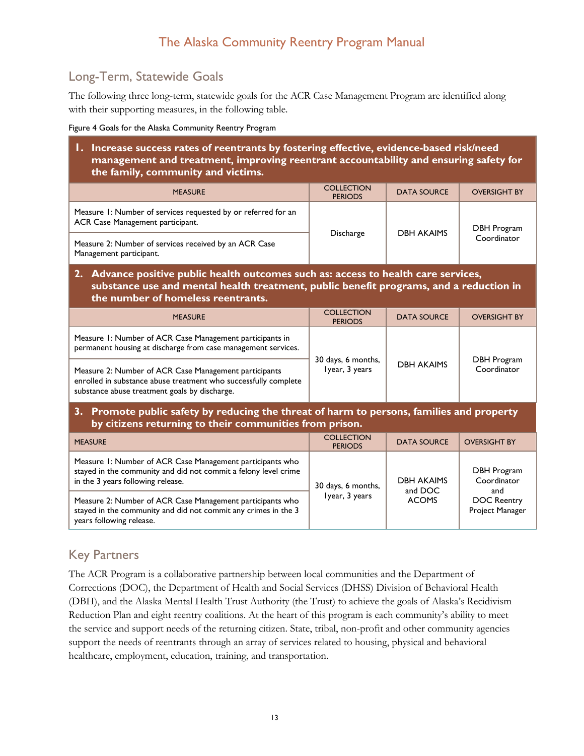# <span id="page-13-0"></span>Long-Term, Statewide Goals

The following three long-term, statewide goals for the ACR Case Management Program are identified along with their supporting measures, in the following table.

<span id="page-13-2"></span>Figure 4 Goals for the Alaska Community Reentry Program

#### **1. Increase success rates of reentrants by fostering effective, evidence-based risk/need management and treatment, improving reentrant accountability and ensuring safety for the family, community and victims.**

| <b>MEASURE</b>                                                                                    | <b>COLLECTION</b><br><b>PERIODS</b> | <b>DATA SOURCE</b> | <b>OVERSIGHT BY</b> |  |
|---------------------------------------------------------------------------------------------------|-------------------------------------|--------------------|---------------------|--|
| Measure 1: Number of services requested by or referred for an<br>ACR Case Management participant. |                                     |                    | DBH Program         |  |
| Measure 2: Number of services received by an ACR Case<br>Management participant.                  | Discharge                           | <b>DBH AKAIMS</b>  | Coordinator         |  |

#### **2. Advance positive public health outcomes such as: access to health care services, substance use and mental health treatment, public benefit programs, and a reduction in the number of homeless reentrants.**

| <b>MEASURE</b>                                                                                                                                                            | <b>COLLECTION</b><br><b>PERIODS</b>  | <b>DATA SOURCE</b> | <b>OVERSIGHT BY</b>        |  |
|---------------------------------------------------------------------------------------------------------------------------------------------------------------------------|--------------------------------------|--------------------|----------------------------|--|
| Measure 1: Number of ACR Case Management participants in<br>permanent housing at discharge from case management services.                                                 |                                      |                    |                            |  |
| Measure 2: Number of ACR Case Management participants<br>enrolled in substance abuse treatment who successfully complete<br>substance abuse treatment goals by discharge. | 30 days, 6 months,<br>lyear, 3 years | <b>DBH AKAIMS</b>  | DBH Program<br>Coordinator |  |

## **3. Promote public safety by reducing the threat of harm to persons, families and property by citizens returning to their communities from prison.**

| <b>MEASURE</b>                                                                                                                                                    | <b>COLLECTION</b><br><b>PERIODS</b> | <b>DATA SOURCE</b>      | <b>OVERSIGHT BY</b>                          |  |
|-------------------------------------------------------------------------------------------------------------------------------------------------------------------|-------------------------------------|-------------------------|----------------------------------------------|--|
| Measure 1: Number of ACR Case Management participants who<br>stayed in the community and did not commit a felony level crime<br>in the 3 years following release. | 30 days, 6 months,                  | <b>DBH AKAIMS</b>       | DBH Program<br>Coordinator                   |  |
| Measure 2: Number of ACR Case Management participants who<br>stayed in the community and did not commit any crimes in the 3<br>years following release.           | Iyear, 3 years                      | and DOC<br><b>ACOMS</b> | and<br><b>DOC Reentry</b><br>Project Manager |  |

# <span id="page-13-1"></span>Key Partners

The ACR Program is a collaborative partnership between local communities and the Department of Corrections (DOC), the Department of Health and Social Services (DHSS) Division of Behavioral Health (DBH), and the Alaska Mental Health Trust Authority (the Trust) to achieve the goals of Alaska's Recidivism Reduction Plan and eight reentry coalitions. At the heart of this program is each community's ability to meet the service and support needs of the returning citizen. State, tribal, non-profit and other community agencies support the needs of reentrants through an array of services related to housing, physical and behavioral healthcare, employment, education, training, and transportation.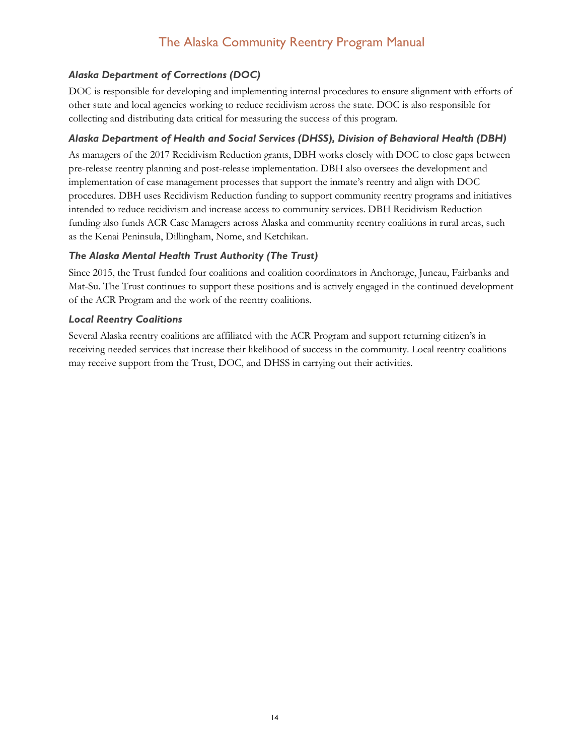## *Alaska Department of Corrections (DOC)*

DOC is responsible for developing and implementing internal procedures to ensure alignment with efforts of other state and local agencies working to reduce recidivism across the state. DOC is also responsible for collecting and distributing data critical for measuring the success of this program.

#### *Alaska Department of Health and Social Services (DHSS), Division of Behavioral Health (DBH)*

As managers of the 2017 Recidivism Reduction grants, DBH works closely with DOC to close gaps between pre-release reentry planning and post-release implementation. DBH also oversees the development and implementation of case management processes that support the inmate's reentry and align with DOC procedures. DBH uses Recidivism Reduction funding to support community reentry programs and initiatives intended to reduce recidivism and increase access to community services. DBH Recidivism Reduction funding also funds ACR Case Managers across Alaska and community reentry coalitions in rural areas, such as the Kenai Peninsula, Dillingham, Nome, and Ketchikan.

#### *The Alaska Mental Health Trust Authority (The Trust)*

Since 2015, the Trust funded four coalitions and coalition coordinators in Anchorage, Juneau, Fairbanks and Mat-Su. The Trust continues to support these positions and is actively engaged in the continued development of the ACR Program and the work of the reentry coalitions.

#### *Local Reentry Coalitions*

Several Alaska reentry coalitions are affiliated with the ACR Program and support returning citizen's in receiving needed services that increase their likelihood of success in the community. Local reentry coalitions may receive support from the Trust, DOC, and DHSS in carrying out their activities.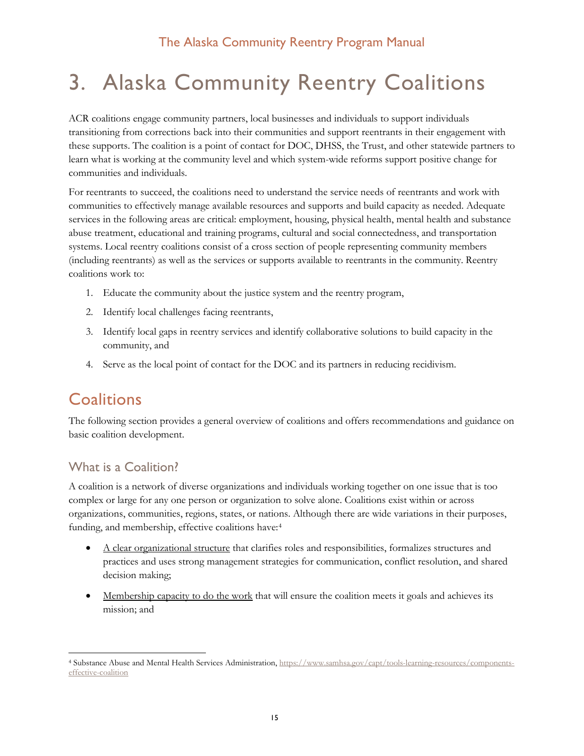# <span id="page-15-0"></span>3. Alaska Community Reentry Coalitions

ACR coalitions engage community partners, local businesses and individuals to support individuals transitioning from corrections back into their communities and support reentrants in their engagement with these supports. The coalition is a point of contact for DOC, DHSS, the Trust, and other statewide partners to learn what is working at the community level and which system-wide reforms support positive change for communities and individuals.

For reentrants to succeed, the coalitions need to understand the service needs of reentrants and work with communities to effectively manage available resources and supports and build capacity as needed. Adequate services in the following areas are critical: employment, housing, physical health, mental health and substance abuse treatment, educational and training programs, cultural and social connectedness, and transportation systems. Local reentry coalitions consist of a cross section of people representing community members (including reentrants) as well as the services or supports available to reentrants in the community. Reentry coalitions work to:

- 1. Educate the community about the justice system and the reentry program,
- 2. Identify local challenges facing reentrants,
- 3. Identify local gaps in reentry services and identify collaborative solutions to build capacity in the community, and
- 4. Serve as the local point of contact for the DOC and its partners in reducing recidivism.

# <span id="page-15-1"></span>**Coalitions**

The following section provides a general overview of coalitions and offers recommendations and guidance on basic coalition development.

# <span id="page-15-2"></span>What is a Coalition?

A coalition is a network of diverse organizations and individuals working together on one issue that is too complex or large for any one person or organization to solve alone. Coalitions exist within or across organizations, communities, regions, states, or nations. Although there are wide variations in their purposes, funding, and membership, effective coalitions have:[4](#page-15-3)

- A clear organizational structure that clarifies roles and responsibilities, formalizes structures and practices and uses strong management strategies for communication, conflict resolution, and shared decision making;
- Membership capacity to do the work that will ensure the coalition meets it goals and achieves its mission; and

<span id="page-15-3"></span> <sup>4</sup> Substance Abuse and Mental Health Services Administration, [https://www.samhsa.gov/capt/tools-learning-resources/components](https://www.samhsa.gov/capt/tools-learning-resources/components-effective-coalition)[effective-coalition](https://www.samhsa.gov/capt/tools-learning-resources/components-effective-coalition)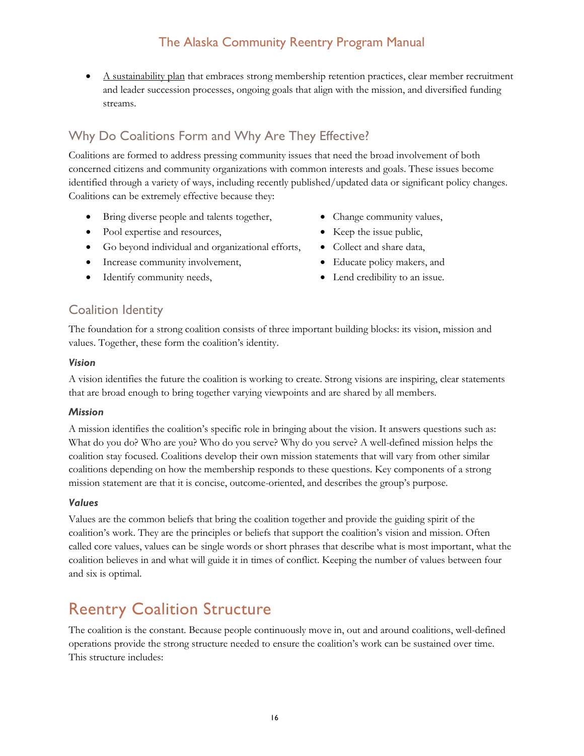A sustainability plan that embraces strong membership retention practices, clear member recruitment and leader succession processes, ongoing goals that align with the mission, and diversified funding streams.

# <span id="page-16-0"></span>Why Do Coalitions Form and Why Are They Effective?

Coalitions are formed to address pressing community issues that need the broad involvement of both concerned citizens and community organizations with common interests and goals. These issues become identified through a variety of ways, including recently published/updated data or significant policy changes. Coalitions can be extremely effective because they:

- Bring diverse people and talents together,
- Pool expertise and resources,
- Go beyond individual and organizational efforts,
- Increase community involvement,
- Identify community needs,
- Change community values,
- Keep the issue public,
- Collect and share data,
- Educate policy makers, and
- Lend credibility to an issue.

## <span id="page-16-1"></span>Coalition Identity

The foundation for a strong coalition consists of three important building blocks: its vision, mission and values. Together, these form the coalition's identity.

#### *Vision*

A vision identifies the future the coalition is working to create. Strong visions are inspiring, clear statements that are broad enough to bring together varying viewpoints and are shared by all members.

#### *Mission*

A mission identifies the coalition's specific role in bringing about the vision. It answers questions such as: What do you do? Who are you? Who do you serve? Why do you serve? A well-defined mission helps the coalition stay focused. Coalitions develop their own mission statements that will vary from other similar coalitions depending on how the membership responds to these questions. Key components of a strong mission statement are that it is concise, outcome-oriented, and describes the group's purpose.

#### *Values*

Values are the common beliefs that bring the coalition together and provide the guiding spirit of the coalition's work. They are the principles or beliefs that support the coalition's vision and mission. Often called core values, values can be single words or short phrases that describe what is most important, what the coalition believes in and what will guide it in times of conflict. Keeping the number of values between four and six is optimal.

# <span id="page-16-2"></span>Reentry Coalition Structure

The coalition is the constant. Because people continuously move in, out and around coalitions, well-defined operations provide the strong structure needed to ensure the coalition's work can be sustained over time. This structure includes: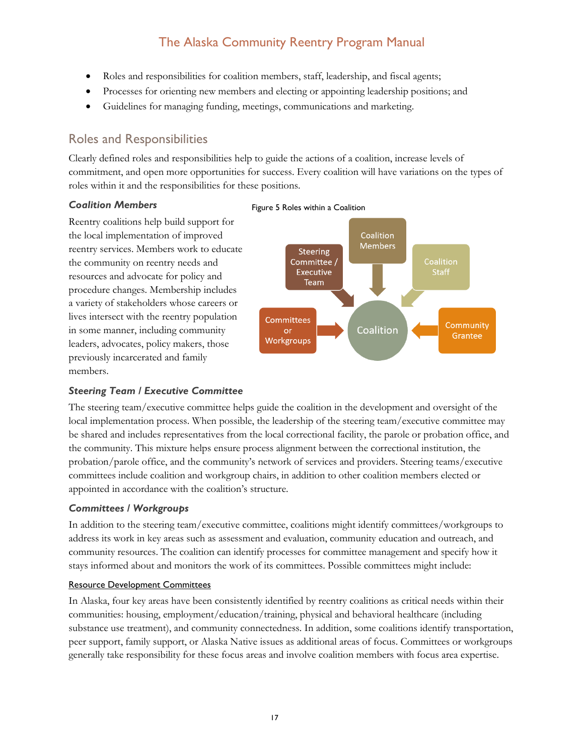- Roles and responsibilities for coalition members, staff, leadership, and fiscal agents;
- Processes for orienting new members and electing or appointing leadership positions; and
- Guidelines for managing funding, meetings, communications and marketing.

# <span id="page-17-0"></span>Roles and Responsibilities

Clearly defined roles and responsibilities help to guide the actions of a coalition, increase levels of commitment, and open more opportunities for success. Every coalition will have variations on the types of roles within it and the responsibilities for these positions.

#### *Coalition Members*

Reentry coalitions help build support for the local implementation of improved reentry services. Members work to educate the community on reentry needs and resources and advocate for policy and procedure changes. Membership includes a variety of stakeholders whose careers or lives intersect with the reentry population in some manner, including community leaders, advocates, policy makers, those previously incarcerated and family members.





#### *Steering Team / Executive Committee*

The steering team/executive committee helps guide the coalition in the development and oversight of the local implementation process. When possible, the leadership of the steering team/executive committee may be shared and includes representatives from the local correctional facility, the parole or probation office, and the community. This mixture helps ensure process alignment between the correctional institution, the probation/parole office, and the community's network of services and providers. Steering teams/executive committees include coalition and workgroup chairs, in addition to other coalition members elected or appointed in accordance with the coalition's structure.

#### *Committees / Workgroups*

In addition to the steering team/executive committee, coalitions might identify committees/workgroups to address its work in key areas such as assessment and evaluation, community education and outreach, and community resources. The coalition can identify processes for committee management and specify how it stays informed about and monitors the work of its committees. Possible committees might include:

#### Resource Development Committees

In Alaska, four key areas have been consistently identified by reentry coalitions as critical needs within their communities: housing, employment/education/training, physical and behavioral healthcare (including substance use treatment), and community connectedness. In addition, some coalitions identify transportation, peer support, family support, or Alaska Native issues as additional areas of focus. Committees or workgroups generally take responsibility for these focus areas and involve coalition members with focus area expertise.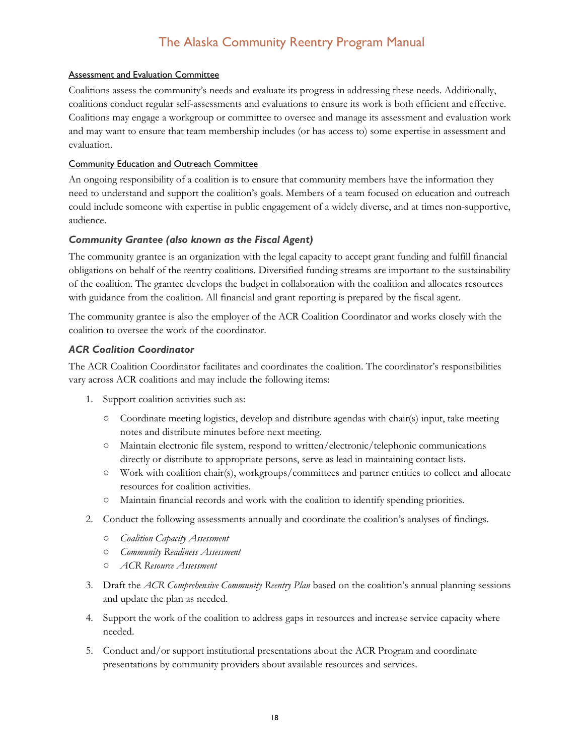#### Assessment and Evaluation Committee

Coalitions assess the community's needs and evaluate its progress in addressing these needs. Additionally, coalitions conduct regular self-assessments and evaluations to ensure its work is both efficient and effective. Coalitions may engage a workgroup or committee to oversee and manage its assessment and evaluation work and may want to ensure that team membership includes (or has access to) some expertise in assessment and evaluation.

#### Community Education and Outreach Committee

An ongoing responsibility of a coalition is to ensure that community members have the information they need to understand and support the coalition's goals. Members of a team focused on education and outreach could include someone with expertise in public engagement of a widely diverse, and at times non-supportive, audience.

#### *Community Grantee (also known as the Fiscal Agent)*

The community grantee is an organization with the legal capacity to accept grant funding and fulfill financial obligations on behalf of the reentry coalitions. Diversified funding streams are important to the sustainability of the coalition. The grantee develops the budget in collaboration with the coalition and allocates resources with guidance from the coalition. All financial and grant reporting is prepared by the fiscal agent.

The community grantee is also the employer of the ACR Coalition Coordinator and works closely with the coalition to oversee the work of the coordinator.

## *ACR Coalition Coordinator*

The ACR Coalition Coordinator facilitates and coordinates the coalition. The coordinator's responsibilities vary across ACR coalitions and may include the following items:

- 1. Support coalition activities such as:
	- Coordinate meeting logistics, develop and distribute agendas with chair(s) input, take meeting notes and distribute minutes before next meeting.
	- Maintain electronic file system, respond to written/electronic/telephonic communications directly or distribute to appropriate persons, serve as lead in maintaining contact lists.
	- Work with coalition chair(s), workgroups/committees and partner entities to collect and allocate resources for coalition activities.
	- Maintain financial records and work with the coalition to identify spending priorities.
- 2. Conduct the following assessments annually and coordinate the coalition's analyses of findings.
	- *Coalition Capacity Assessment*
	- *Community Readiness Assessment*
	- *ACR Resource Assessment*
- 3. Draft the *ACR Comprehensive Community Reentry Plan* based on the coalition's annual planning sessions and update the plan as needed.
- 4. Support the work of the coalition to address gaps in resources and increase service capacity where needed.
- 5. Conduct and/or support institutional presentations about the ACR Program and coordinate presentations by community providers about available resources and services.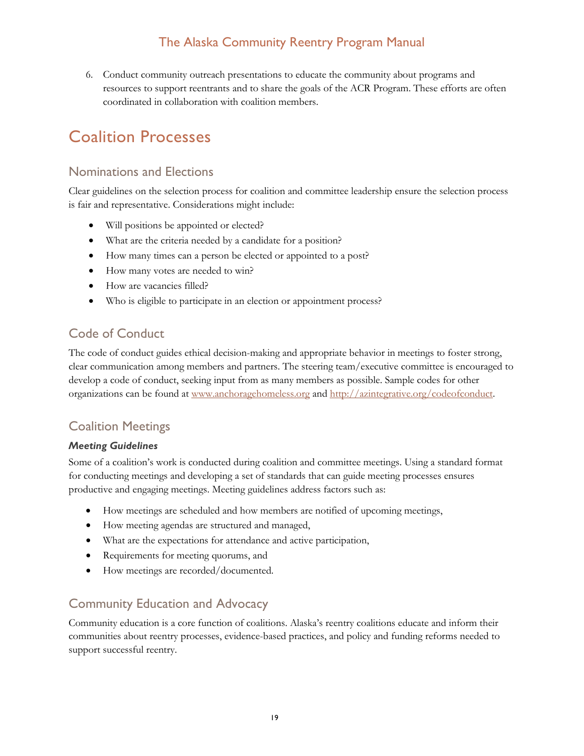6. Conduct community outreach presentations to educate the community about programs and resources to support reentrants and to share the goals of the ACR Program. These efforts are often coordinated in collaboration with coalition members.

# <span id="page-19-0"></span>Coalition Processes

## <span id="page-19-1"></span>Nominations and Elections

Clear guidelines on the selection process for coalition and committee leadership ensure the selection process is fair and representative. Considerations might include:

- Will positions be appointed or elected?
- What are the criteria needed by a candidate for a position?
- How many times can a person be elected or appointed to a post?
- How many votes are needed to win?
- How are vacancies filled?
- Who is eligible to participate in an election or appointment process?

# <span id="page-19-2"></span>Code of Conduct

The code of conduct guides ethical decision-making and appropriate behavior in meetings to foster strong, clear communication among members and partners. The steering team/executive committee is encouraged to develop a code of conduct, seeking input from as many members as possible. Sample codes for other organizations can be found at [www.anchoragehomeless.org](http://www.anchoragehomeless.org/) and [http://azintegrative.org/codeofconduct.](http://azintegrative.org/codeofconduct)

# <span id="page-19-3"></span>Coalition Meetings

#### *Meeting Guidelines*

Some of a coalition's work is conducted during coalition and committee meetings. Using a standard format for conducting meetings and developing a set of standards that can guide meeting processes ensures productive and engaging meetings. Meeting guidelines address factors such as:

- How meetings are scheduled and how members are notified of upcoming meetings,
- How meeting agendas are structured and managed,
- What are the expectations for attendance and active participation,
- Requirements for meeting quorums, and
- How meetings are recorded/documented.

# <span id="page-19-4"></span>Community Education and Advocacy

Community education is a core function of coalitions. Alaska's reentry coalitions educate and inform their communities about reentry processes, evidence-based practices, and policy and funding reforms needed to support successful reentry.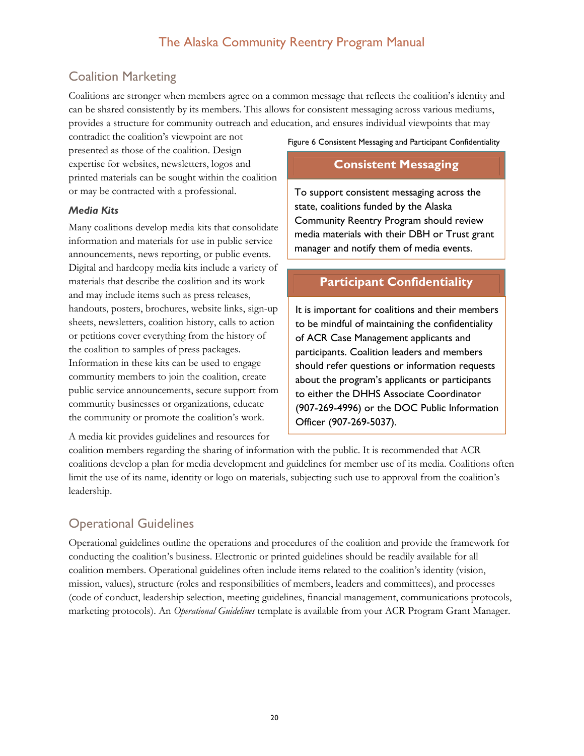# <span id="page-20-0"></span>Coalition Marketing

Coalitions are stronger when members agree on a common message that reflects the coalition's identity and can be shared consistently by its members. This allows for consistent messaging across various mediums, provides a structure for community outreach and education, and ensures individual viewpoints that may

contradict the coalition's viewpoint are not presented as those of the coalition. Design expertise for websites, newsletters, logos and printed materials can be sought within the coalition or may be contracted with a professional.

#### *Media Kits*

Many coalitions develop media kits that consolidate information and materials for use in public service announcements, news reporting, or public events. Digital and hardcopy media kits include a variety of materials that describe the coalition and its work and may include items such as press releases, handouts, posters, brochures, website links, sign-up sheets, newsletters, coalition history, calls to action or petitions cover everything from the history of the coalition to samples of press packages. Information in these kits can be used to engage community members to join the coalition, create public service announcements, secure support from community businesses or organizations, educate the community or promote the coalition's work.

A media kit provides guidelines and resources for

Figure 6 Consistent Messaging and Participant Confidentiality

## **Consistent Messaging**

To support consistent messaging across the state, coalitions funded by the Alaska Community Reentry Program should review media materials with their DBH or Trust grant manager and notify them of media events.

# **Participant Confidentiality**

It is important for coalitions and their members to be mindful of maintaining the confidentiality of ACR Case Management applicants and participants. Coalition leaders and members should refer questions or information requests about the program's applicants or participants to either the DHHS Associate Coordinator (907-269-4996) or the DOC Public Information Officer (907-269-5037).

coalition members regarding the sharing of information with the public. It is recommended that ACR coalitions develop a plan for media development and guidelines for member use of its media. Coalitions often limit the use of its name, identity or logo on materials, subjecting such use to approval from the coalition's leadership.

# <span id="page-20-1"></span>Operational Guidelines

Operational guidelines outline the operations and procedures of the coalition and provide the framework for conducting the coalition's business. Electronic or printed guidelines should be readily available for all coalition members. Operational guidelines often include items related to the coalition's identity (vision, mission, values), structure (roles and responsibilities of members, leaders and committees), and processes (code of conduct, leadership selection, meeting guidelines, financial management, communications protocols, marketing protocols). An *Operational Guidelines* template is available from your ACR Program Grant Manager.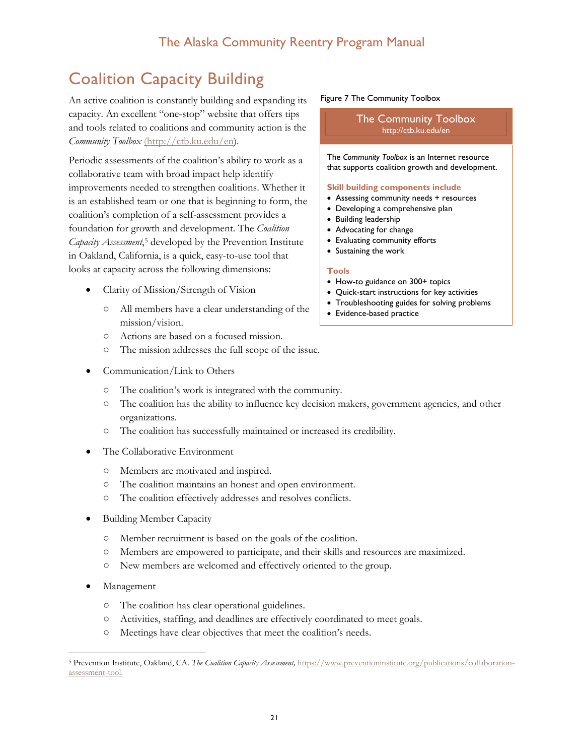# <span id="page-21-0"></span>Coalition Capacity Building

An active coalition is constantly building and expanding its capacity. An excellent "one-stop" website that offers tips and tools related to coalitions and community action is the *Community Toolbox* [\(http://ctb.ku.edu/en\)](http://ctb.ku.edu/en).

Periodic assessments of the coalition's ability to work as a collaborative team with broad impact help identify improvements needed to strengthen coalitions. Whether it is an established team or one that is beginning to form, the coalition's completion of a self-assessment provides a foundation for growth and development. The *Coalition Capacity Assessment*,[5](#page-21-1) developed by the Prevention Institute in Oakland, California, is a quick, easy-to-use tool that looks at capacity across the following dimensions:

- Clarity of Mission/Strength of Vision
	- All members have a clear understanding of the mission/vision.
	- Actions are based on a focused mission.
	- The mission addresses the full scope of the issue.
- Communication/Link to Others
	- The coalition's work is integrated with the community.
	- The coalition has the ability to influence key decision makers, government agencies, and other organizations.
	- The coalition has successfully maintained or increased its credibility.
- The Collaborative Environment
	- Members are motivated and inspired.
	- The coalition maintains an honest and open environment.
	- The coalition effectively addresses and resolves conflicts.
- Building Member Capacity
	- Member recruitment is based on the goals of the coalition.
	- Members are empowered to participate, and their skills and resources are maximized.
	- New members are welcomed and effectively oriented to the group.
- **Management** 
	- The coalition has clear operational guidelines.
	- Activities, staffing, and deadlines are effectively coordinated to meet goals.
	- Meetings have clear objectives that meet the coalition's needs.

#### Figure 7 The Community Toolbox

The Community Toolbox http://ctb.ku.edu/en

The *Community Toolbox* is an Internet resource that supports coalition growth and development.

#### **Skill building components include**

- Assessing community needs + resources
- Developing a comprehensive plan
- Building leadership
- Advocating for change
- Evaluating community efforts
- Sustaining the work

#### **Tools**

- How-to guidance on 300+ topics
- Quick-start instructions for key activities
- Troubleshooting guides for solving problems
- Evidence-based practice

<span id="page-21-1"></span> <sup>5</sup> Prevention Institute, Oakland, CA. *The Coalition Capacity Assessment,* [https://www.preventioninstitute.org/publications/collaboration](https://www.preventioninstitute.org/publications/collaboration-assessment-tool)[assessment-tool.](https://www.preventioninstitute.org/publications/collaboration-assessment-tool)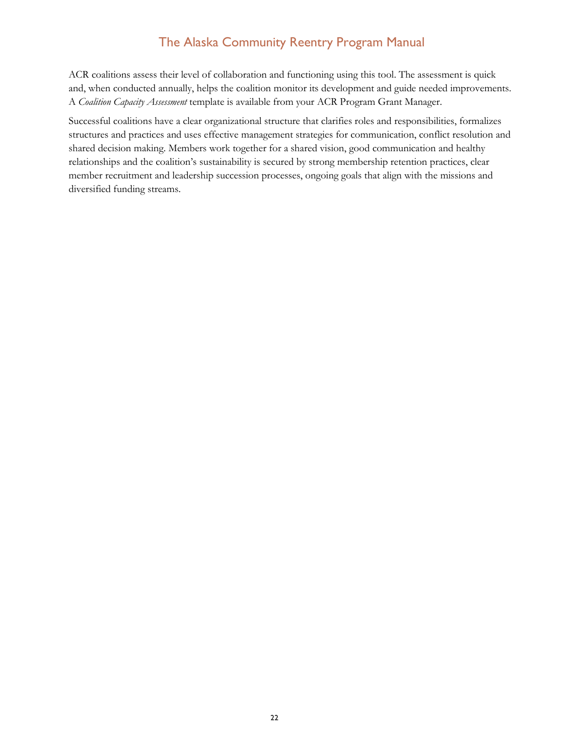ACR coalitions assess their level of collaboration and functioning using this tool. The assessment is quick and, when conducted annually, helps the coalition monitor its development and guide needed improvements. A *Coalition Capacity Assessment* template is available from your ACR Program Grant Manager.

Successful coalitions have a clear organizational structure that clarifies roles and responsibilities, formalizes structures and practices and uses effective management strategies for communication, conflict resolution and shared decision making. Members work together for a shared vision, good communication and healthy relationships and the coalition's sustainability is secured by strong membership retention practices, clear member recruitment and leadership succession processes, ongoing goals that align with the missions and diversified funding streams.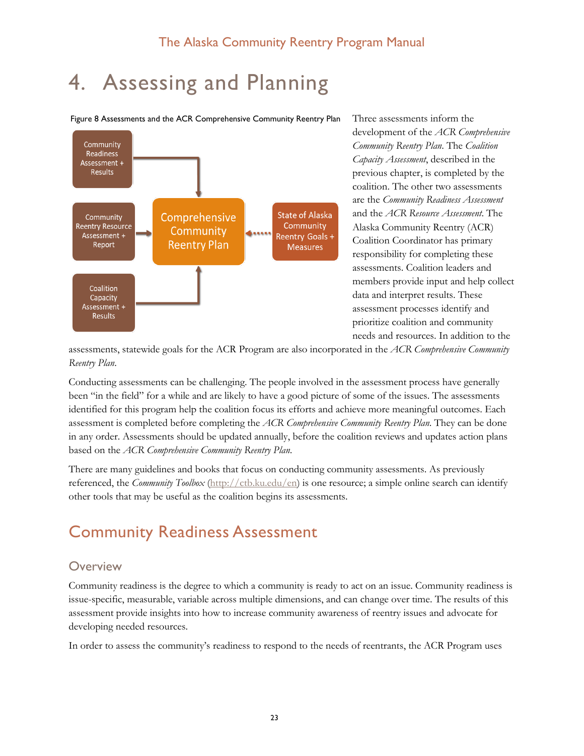# <span id="page-23-0"></span>4. Assessing and Planning

Figure 8 Assessments and the ACR Comprehensive Community Reentry Plan



Three assessments inform the development of the *ACR Comprehensive Community Reentry Plan*. The *Coalition Capacity Assessment*, described in the previous chapter, is completed by the coalition. The other two assessments are the *Community Readiness Assessment* and the *ACR Resource Assessment*. The Alaska Community Reentry (ACR) Coalition Coordinator has primary responsibility for completing these assessments. Coalition leaders and members provide input and help collect data and interpret results. These assessment processes identify and prioritize coalition and community needs and resources. In addition to the

assessments, statewide goals for the ACR Program are also incorporated in the *ACR Comprehensive Community Reentry Plan*.

Conducting assessments can be challenging. The people involved in the assessment process have generally been "in the field" for a while and are likely to have a good picture of some of the issues. The assessments identified for this program help the coalition focus its efforts and achieve more meaningful outcomes. Each assessment is completed before completing the *ACR Comprehensive Community Reentry Plan*. They can be done in any order. Assessments should be updated annually, before the coalition reviews and updates action plans based on the *ACR Comprehensive Community Reentry Plan*.

There are many guidelines and books that focus on conducting community assessments. As previously referenced, the *Community Toolbox* [\(http://ctb.ku.edu/en\)](http://ctb.ku.edu/en) is one resource; a simple online search can identify other tools that may be useful as the coalition begins its assessments.

# <span id="page-23-1"></span>Community Readiness Assessment

## <span id="page-23-2"></span>**Overview**

Community readiness is the degree to which a community is ready to act on an issue. Community readiness is issue-specific, measurable, variable across multiple dimensions, and can change over time. The results of this assessment provide insights into how to increase community awareness of reentry issues and advocate for developing needed resources.

In order to assess the community's readiness to respond to the needs of reentrants, the ACR Program uses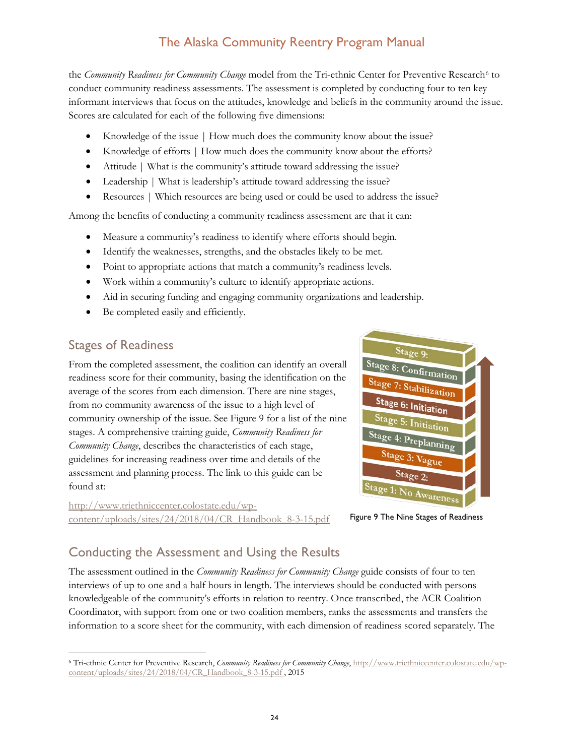the *Community Readiness for Community Change* model from the Tri-ethnic Center for Preventive Research[6](#page-24-2) to conduct community readiness assessments. The assessment is completed by conducting four to ten key informant interviews that focus on the attitudes, knowledge and beliefs in the community around the issue. Scores are calculated for each of the following five dimensions:

- Knowledge of the issue | How much does the community know about the issue?
- Knowledge of efforts | How much does the community know about the efforts?
- Attitude | What is the community's attitude toward addressing the issue?
- Leadership | What is leadership's attitude toward addressing the issue?
- Resources | Which resources are being used or could be used to address the issue?

Among the benefits of conducting a community readiness assessment are that it can:

- Measure a community's readiness to identify where efforts should begin.
- Identify the weaknesses, strengths, and the obstacles likely to be met.
- Point to appropriate actions that match a community's readiness levels.
- Work within a community's culture to identify appropriate actions.
- Aid in securing funding and engaging community organizations and leadership.
- Be completed easily and efficiently.

## <span id="page-24-0"></span>Stages of Readiness

From the completed assessment, the coalition can identify an overall readiness score for their community, basing the identification on the average of the scores from each dimension. There are nine stages, from no community awareness of the issue to a high level of community ownership of the issue. See Figure 9 for a list of the nine stages. A comprehensive training guide, *Community Readiness for Community Change*, describes the characteristics of each stage, guidelines for increasing readiness over time and details of the assessment and planning process. The link to this guide can be found at:

[http://www.triethniccenter.colostate.edu/wp](http://www.triethniccenter.colostate.edu/wp-content/uploads/sites/24/2018/04/CR_Handbook_8-3-15.pdf)[content/uploads/sites/24/2018/04/CR\\_Handbook\\_8-3-15.pdf](http://www.triethniccenter.colostate.edu/wp-content/uploads/sites/24/2018/04/CR_Handbook_8-3-15.pdf)



Figure 9 The Nine Stages of Readiness

# <span id="page-24-1"></span>Conducting the Assessment and Using the Results

The assessment outlined in the *Community Readiness for Community Change* guide consists of four to ten interviews of up to one and a half hours in length. The interviews should be conducted with persons knowledgeable of the community's efforts in relation to reentry. Once transcribed, the ACR Coalition Coordinator, with support from one or two coalition members, ranks the assessments and transfers the information to a score sheet for the community, with each dimension of readiness scored separately. The

<span id="page-24-2"></span> <sup>6</sup> Tri-ethnic Center for Preventive Research, *Community Readiness for Community Change*[, http://www.triethniccenter.colostate.edu/wp](http://www.triethniccenter.colostate.edu/wp-content/uploads/sites/24/2018/04/CR_Handbook_8-3-15.pdf)[content/uploads/sites/24/2018/04/CR\\_Handbook\\_8-3-15.pdf](http://www.triethniccenter.colostate.edu/wp-content/uploads/sites/24/2018/04/CR_Handbook_8-3-15.pdf) , 2015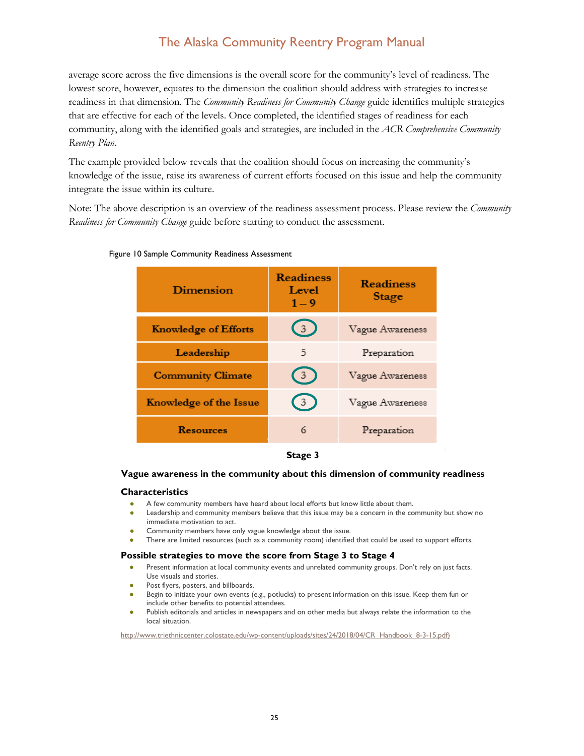average score across the five dimensions is the overall score for the community's level of readiness. The lowest score, however, equates to the dimension the coalition should address with strategies to increase readiness in that dimension. The *Community Readiness for Community Change* guide identifies multiple strategies that are effective for each of the levels. Once completed, the identified stages of readiness for each community, along with the identified goals and strategies, are included in the *ACR Comprehensive Community Reentry Plan*.

The example provided below reveals that the coalition should focus on increasing the community's knowledge of the issue, raise its awareness of current efforts focused on this issue and help the community integrate the issue within its culture.

Note: The above description is an overview of the readiness assessment process. Please review the *Community Readiness for Community Change* guide before starting to conduct the assessment.

| Dimension                     | Readiness<br>Level<br>$1 - 9$ | Readiness<br>Stage |
|-------------------------------|-------------------------------|--------------------|
| <b>Knowledge of Efforts</b>   | $\left(3\right)$              | Vague Awareness    |
| Leadership                    | 5                             | Preparation        |
| <b>Community Climate</b>      | $\left(3\right)$              | Vague Awareness    |
| <b>Knowledge of the Issue</b> | 3.                            | Vague Awareness    |
| Resources                     | 6                             | Preparation        |

#### Figure 10 Sample Community Readiness Assessment



#### **Vague awareness in the community about this dimension of community readiness**

#### **Characteristics**

- A few community members have heard about local efforts but know little about them.
- Leadership and community members believe that this issue may be a concern in the community but show no immediate motivation to act.
- Community members have only vague knowledge about the issue.
- There are limited resources (such as a community room) identified that could be used to support efforts.

#### **Possible strategies to move the score from Stage 3 to Stage 4**

- Present information at local community events and unrelated community groups. Don't rely on just facts. Use visuals and stories.
- Post flyers, posters, and billboards.
- Begin to initiate your own events (e.g., potlucks) to present information on this issue. Keep them fun or include other benefits to potential attendees.
- Publish editorials and articles in newspapers and on other media but always relate the information to the local situation.

<span id="page-25-0"></span>http://www.triethniccenter.colostate.edu/wp-content/uploads/sites/24/2018/04/CR\_Handbook\_8-3-15.pdf)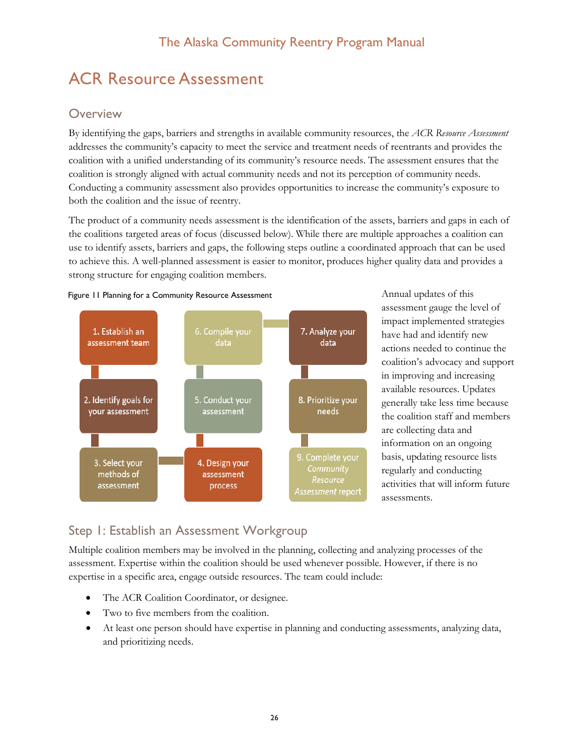# ACR Resource Assessment

# **Overview**

By identifying the gaps, barriers and strengths in available community resources, the *ACR Resource Assessment* addresses the community's capacity to meet the service and treatment needs of reentrants and provides the coalition with a unified understanding of its community's resource needs. The assessment ensures that the coalition is strongly aligned with actual community needs and not its perception of community needs. Conducting a community assessment also provides opportunities to increase the community's exposure to both the coalition and the issue of reentry.

The product of a community needs assessment is the identification of the assets, barriers and gaps in each of the coalitions targeted areas of focus (discussed below). While there are multiple approaches a coalition can use to identify assets, barriers and gaps, the following steps outline a coordinated approach that can be used to achieve this. A well-planned assessment is easier to monitor, produces higher quality data and provides a strong structure for engaging coalition members.





Annual updates of this assessment gauge the level of impact implemented strategies have had and identify new actions needed to continue the coalition's advocacy and support in improving and increasing available resources. Updates generally take less time because the coalition staff and members are collecting data and information on an ongoing basis, updating resource lists regularly and conducting activities that will inform future assessments.

# <span id="page-26-0"></span>Step 1: Establish an Assessment Workgroup

Multiple coalition members may be involved in the planning, collecting and analyzing processes of the assessment. Expertise within the coalition should be used whenever possible. However, if there is no expertise in a specific area, engage outside resources. The team could include:

- The ACR Coalition Coordinator, or designee.
- Two to five members from the coalition.
- <span id="page-26-1"></span>• At least one person should have expertise in planning and conducting assessments, analyzing data, and prioritizing needs.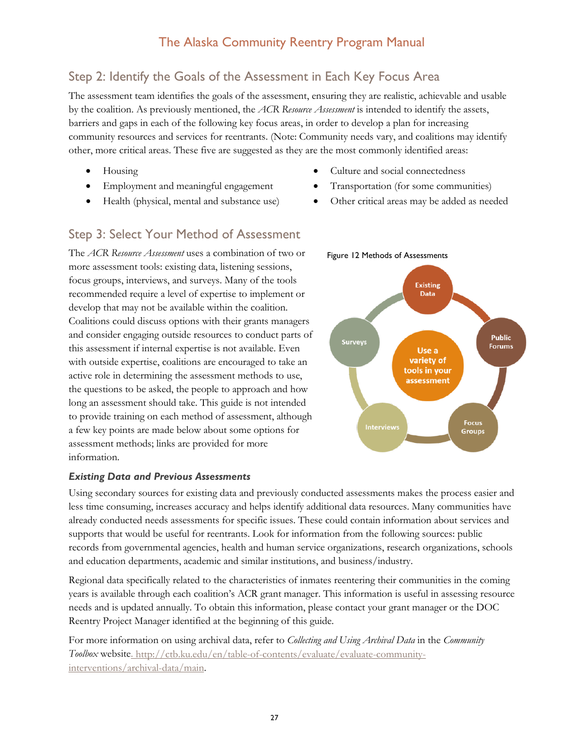# Step 2: Identify the Goals of the Assessment in Each Key Focus Area

The assessment team identifies the goals of the assessment, ensuring they are realistic, achievable and usable by the coalition. As previously mentioned, the *ACR Resource Assessment* is intended to identify the assets, barriers and gaps in each of the following key focus areas, in order to develop a plan for increasing community resources and services for reentrants. (Note: Community needs vary, and coalitions may identify other, more critical areas. These five are suggested as they are the most commonly identified areas:

- Housing
- Employment and meaningful engagement
- Health (physical, mental and substance use)
- Culture and social connectedness

Figure 12 Methods of Assessments

- Transportation (for some communities)
- Other critical areas may be added as needed

## <span id="page-27-0"></span>Step 3: Select Your Method of Assessment

The *ACR Resource Assessment* uses a combination of two or more assessment tools: existing data, listening sessions, focus groups, interviews, and surveys. Many of the tools recommended require a level of expertise to implement or develop that may not be available within the coalition. Coalitions could discuss options with their grants managers and consider engaging outside resources to conduct parts of this assessment if internal expertise is not available. Even with outside expertise, coalitions are encouraged to take an active role in determining the assessment methods to use, the questions to be asked, the people to approach and how long an assessment should take. This guide is not intended to provide training on each method of assessment, although a few key points are made below about some options for assessment methods; links are provided for more information.

## *Existing Data and Previous Assessments*

Using secondary sources for existing data and previously conducted assessments makes the process easier and less time consuming, increases accuracy and helps identify additional data resources. Many communities have already conducted needs assessments for specific issues. These could contain information about services and supports that would be useful for reentrants. Look for information from the following sources: public records from governmental agencies, health and human service organizations, research organizations, schools and education departments, academic and similar institutions, and business/industry.

Regional data specifically related to the characteristics of inmates reentering their communities in the coming years is available through each coalition's ACR grant manager. This information is useful in assessing resource needs and is updated annually. To obtain this information, please contact your grant manager or the DOC Reentry Project Manager identified at the beginning of this guide.

For more information on using archival data, refer to *Collecting and Using Archival Data* in the *Community Toolbox* website. [http://ctb.ku.edu/en/table-of-contents/evaluate/evaluate-community](http://ctb.ku.edu/en/table-of-contents/evaluate/evaluate-community-interventions/archival-data/main)[interventions/archival-data/main.](http://ctb.ku.edu/en/table-of-contents/evaluate/evaluate-community-interventions/archival-data/main)

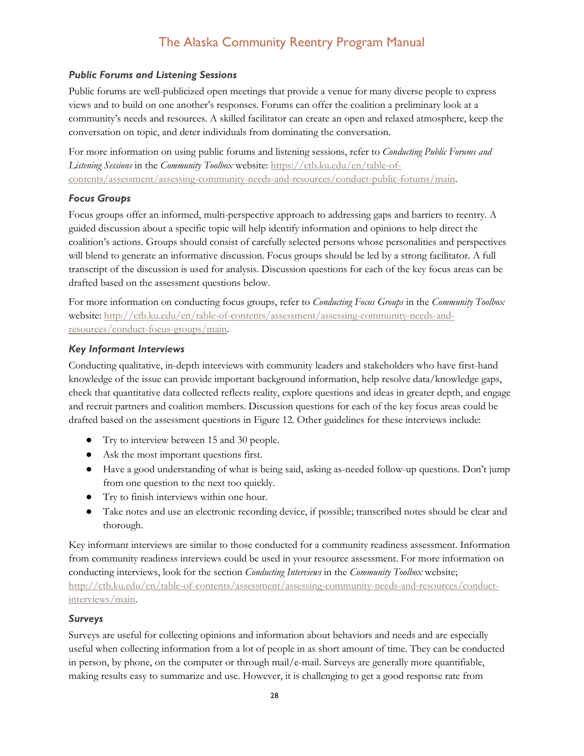#### *Public Forums and Listening Sessions*

Public forums are well-publicized open meetings that provide a venue for many diverse people to express views and to build on one another's responses. Forums can offer the coalition a preliminary look at a community's needs and resources. A skilled facilitator can create an open and relaxed atmosphere, keep the conversation on topic, and deter individuals from dominating the conversation.

For more information on using public forums and listening sessions, refer to *Conducting Public Forums and Listening Sessions* in the *Community Toolbox* website: [https://ctb.ku.edu/en/table-of](https://ctb.ku.edu/en/table-of-contents/assessment/assessing-community-needs-and-resources/conduct-public-forums/main)[contents/assessment/assessing-community-needs-and-resources/conduct-public-forums/main.](https://ctb.ku.edu/en/table-of-contents/assessment/assessing-community-needs-and-resources/conduct-public-forums/main)

#### *Focus Groups*

Focus groups offer an informed, multi-perspective approach to addressing gaps and barriers to reentry. A guided discussion about a specific topic will help identify information and opinions to help direct the coalition's actions. Groups should consist of carefully selected persons whose personalities and perspectives will blend to generate an informative discussion. Focus groups should be led by a strong facilitator. A full transcript of the discussion is used for analysis. Discussion questions for each of the key focus areas can be drafted based on the assessment questions below.

For more information on conducting focus groups, refer to *Conducting Focus Groups* in the *Community Toolbox* website: [http://ctb.ku.edu/en/table-of-contents/assessment/assessing-community-needs-and](http://ctb.ku.edu/en/table-of-contents/assessment/assessing-community-needs-and-resources/conduct-focus-groups/main)[resources/conduct-focus-groups/main.](http://ctb.ku.edu/en/table-of-contents/assessment/assessing-community-needs-and-resources/conduct-focus-groups/main)

#### *Key Informant Interviews*

Conducting qualitative, in-depth interviews with community leaders and stakeholders who have first-hand knowledge of the issue can provide important background information, help resolve data/knowledge gaps, check that quantitative data collected reflects reality, explore questions and ideas in greater depth, and engage and recruit partners and coalition members. Discussion questions for each of the key focus areas could be drafted based on the assessment questions in Figure 12. Other guidelines for these interviews include:

- Try to interview between 15 and 30 people.
- Ask the most important questions first.
- Have a good understanding of what is being said, asking as-needed follow-up questions. Don't jump from one question to the next too quickly.
- Try to finish interviews within one hour.
- Take notes and use an electronic recording device, if possible; transcribed notes should be clear and thorough.

Key informant interviews are similar to those conducted for a community readiness assessment. Information from community readiness interviews could be used in your resource assessment. For more information on conducting interviews, look for the section *Conducting Interviews* in the *Community Toolbox* website; [http://ctb.ku.edu/en/table-of-contents/assessment/assessing-community-needs-and-resources/conduct](http://ctb.ku.edu/en/table-of-contents/assessment/assessing-community-needs-and-resources/conduct-interviews/main)[interviews/main.](http://ctb.ku.edu/en/table-of-contents/assessment/assessing-community-needs-and-resources/conduct-interviews/main)

#### *Surveys*

Surveys are useful for collecting opinions and information about behaviors and needs and are especially useful when collecting information from a lot of people in as short amount of time. They can be conducted in person, by phone, on the computer or through mail/e-mail. Surveys are generally more quantifiable, making results easy to summarize and use. However, it is challenging to get a good response rate from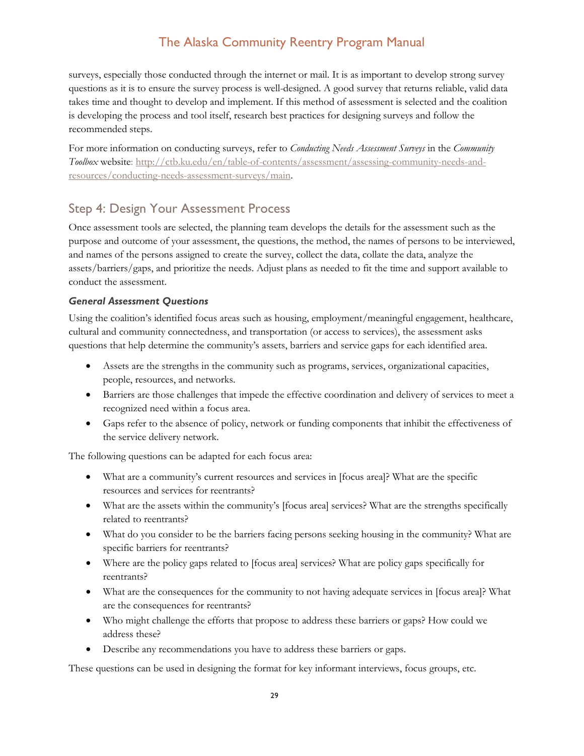surveys, especially those conducted through the internet or mail. It is as important to develop strong survey questions as it is to ensure the survey process is well-designed. A good survey that returns reliable, valid data takes time and thought to develop and implement. If this method of assessment is selected and the coalition is developing the process and tool itself, research best practices for designing surveys and follow the recommended steps.

For more information on conducting surveys, refer to *Conducting Needs Assessment Surveys* in the *Community Toolbox* website: [http://ctb.ku.edu/en/table-of-contents/assessment/assessing-community-needs-and](http://ctb.ku.edu/en/table-of-contents/assessment/assessing-community-needs-and-resources/conducting-needs-assessment-surveys/main)[resources/conducting-needs-assessment-surveys/main.](http://ctb.ku.edu/en/table-of-contents/assessment/assessing-community-needs-and-resources/conducting-needs-assessment-surveys/main)

## <span id="page-29-0"></span>Step 4: Design Your Assessment Process

Once assessment tools are selected, the planning team develops the details for the assessment such as the purpose and outcome of your assessment, the questions, the method, the names of persons to be interviewed, and names of the persons assigned to create the survey, collect the data, collate the data, analyze the assets/barriers/gaps, and prioritize the needs. Adjust plans as needed to fit the time and support available to conduct the assessment.

#### *General Assessment Questions*

Using the coalition's identified focus areas such as housing, employment/meaningful engagement, healthcare, cultural and community connectedness, and transportation (or access to services), the assessment asks questions that help determine the community's assets, barriers and service gaps for each identified area.

- Assets are the strengths in the community such as programs, services, organizational capacities, people, resources, and networks.
- Barriers are those challenges that impede the effective coordination and delivery of services to meet a recognized need within a focus area.
- Gaps refer to the absence of policy, network or funding components that inhibit the effectiveness of the service delivery network.

The following questions can be adapted for each focus area:

- What are a community's current resources and services in [focus area]? What are the specific resources and services for reentrants?
- What are the assets within the community's [focus area] services? What are the strengths specifically related to reentrants?
- What do you consider to be the barriers facing persons seeking housing in the community? What are specific barriers for reentrants?
- Where are the policy gaps related to [focus area] services? What are policy gaps specifically for reentrants?
- What are the consequences for the community to not having adequate services in [focus area]? What are the consequences for reentrants?
- Who might challenge the efforts that propose to address these barriers or gaps? How could we address these?
- Describe any recommendations you have to address these barriers or gaps.

These questions can be used in designing the format for key informant interviews, focus groups, etc.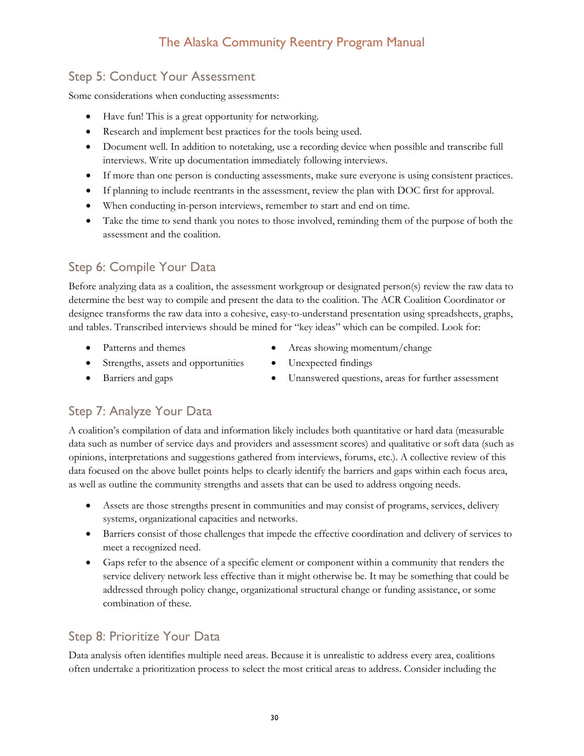# <span id="page-30-0"></span>Step 5: Conduct Your Assessment

Some considerations when conducting assessments:

- Have fun! This is a great opportunity for networking.
- Research and implement best practices for the tools being used.
- Document well. In addition to notetaking, use a recording device when possible and transcribe full interviews. Write up documentation immediately following interviews.
- If more than one person is conducting assessments, make sure everyone is using consistent practices.
- If planning to include reentrants in the assessment, review the plan with DOC first for approval.
- When conducting in-person interviews, remember to start and end on time.
- Take the time to send thank you notes to those involved, reminding them of the purpose of both the assessment and the coalition.

# <span id="page-30-1"></span>Step 6: Compile Your Data

Before analyzing data as a coalition, the assessment workgroup or designated person(s) review the raw data to determine the best way to compile and present the data to the coalition. The ACR Coalition Coordinator or designee transforms the raw data into a cohesive, easy-to-understand presentation using spreadsheets, graphs, and tables. Transcribed interviews should be mined for "key ideas" which can be compiled. Look for:

- Patterns and themes
- Strengths, assets and opportunities
- Areas showing momentum/change • Unexpected findings
- Barriers and gaps
- Unanswered questions, areas for further assessment

# <span id="page-30-2"></span>Step 7: Analyze Your Data

A coalition's compilation of data and information likely includes both quantitative or hard data (measurable data such as number of service days and providers and assessment scores) and qualitative or soft data (such as opinions, interpretations and suggestions gathered from interviews, forums, etc.). A collective review of this data focused on the above bullet points helps to clearly identify the barriers and gaps within each focus area, as well as outline the community strengths and assets that can be used to address ongoing needs.

- Assets are those strengths present in communities and may consist of programs, services, delivery systems, organizational capacities and networks.
- Barriers consist of those challenges that impede the effective coordination and delivery of services to meet a recognized need.
- Gaps refer to the absence of a specific element or component within a community that renders the service delivery network less effective than it might otherwise be. It may be something that could be addressed through policy change, organizational structural change or funding assistance, or some combination of these.

# <span id="page-30-3"></span>Step 8: Prioritize Your Data

Data analysis often identifies multiple need areas. Because it is unrealistic to address every area, coalitions often undertake a prioritization process to select the most critical areas to address. Consider including the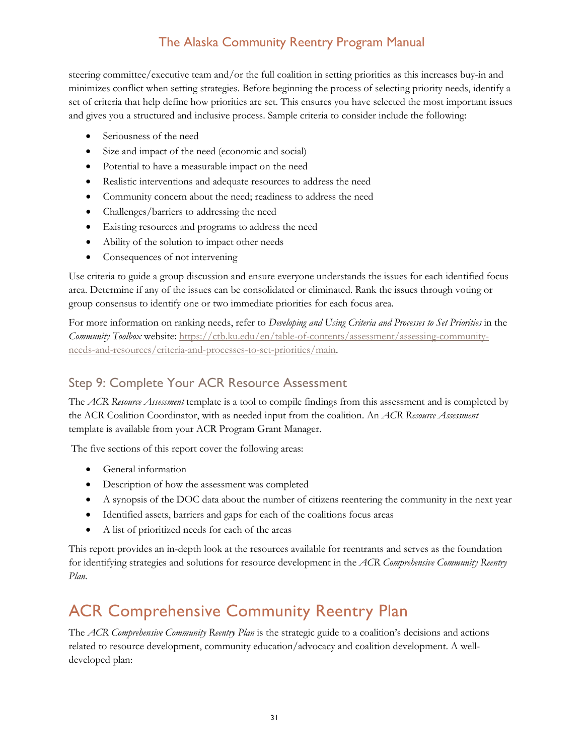steering committee/executive team and/or the full coalition in setting priorities as this increases buy-in and minimizes conflict when setting strategies. Before beginning the process of selecting priority needs, identify a set of criteria that help define how priorities are set. This ensures you have selected the most important issues and gives you a structured and inclusive process. Sample criteria to consider include the following:

- Seriousness of the need
- Size and impact of the need (economic and social)
- Potential to have a measurable impact on the need
- Realistic interventions and adequate resources to address the need
- Community concern about the need; readiness to address the need
- Challenges/barriers to addressing the need
- Existing resources and programs to address the need
- Ability of the solution to impact other needs
- Consequences of not intervening

Use criteria to guide a group discussion and ensure everyone understands the issues for each identified focus area. Determine if any of the issues can be consolidated or eliminated. Rank the issues through voting or group consensus to identify one or two immediate priorities for each focus area.

For more information on ranking needs, refer to *Developing and Using Criteria and Processes to Set Priorities* in the *Community Toolbox* website: [https://ctb.ku.edu/en/table-of-contents/assessment/assessing-community](https://ctb.ku.edu/en/table-of-contents/assessment/assessing-community-needs-and-resources/criteria-and-processes-to-set-priorities/main)[needs-and-resources/criteria-and-processes-to-set-priorities/main.](https://ctb.ku.edu/en/table-of-contents/assessment/assessing-community-needs-and-resources/criteria-and-processes-to-set-priorities/main)

# <span id="page-31-0"></span>Step 9: Complete Your ACR Resource Assessment

The *ACR Resource Assessment* template is a tool to compile findings from this assessment and is completed by the ACR Coalition Coordinator, with as needed input from the coalition. An *ACR Resource Assessment* template is available from your ACR Program Grant Manager.

The five sections of this report cover the following areas:

- General information
- Description of how the assessment was completed
- A synopsis of the DOC data about the number of citizens reentering the community in the next year
- Identified assets, barriers and gaps for each of the coalitions focus areas
- A list of prioritized needs for each of the areas

This report provides an in-depth look at the resources available for reentrants and serves as the foundation for identifying strategies and solutions for resource development in the *ACR Comprehensive Community Reentry Plan.*

# <span id="page-31-1"></span>ACR Comprehensive Community Reentry Plan

The *ACR Comprehensive Community Reentry Plan* is the strategic guide to a coalition's decisions and actions related to resource development, community education/advocacy and coalition development. A welldeveloped plan: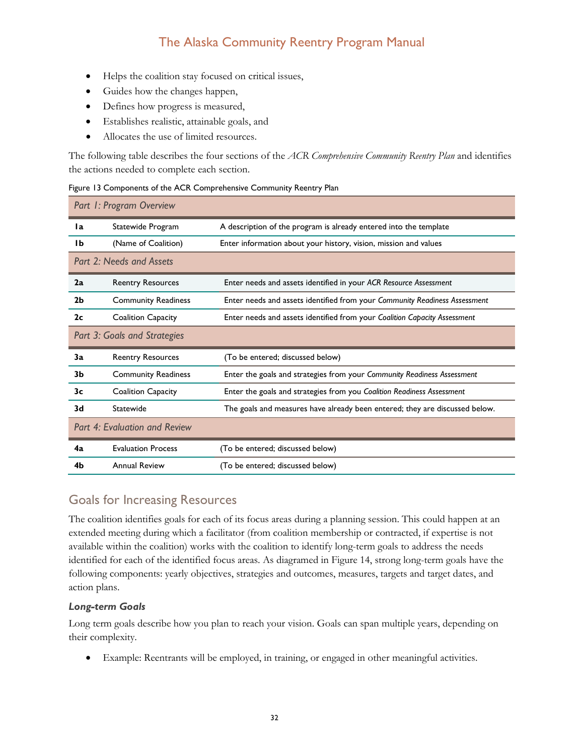- Helps the coalition stay focused on critical issues,
- Guides how the changes happen,
- Defines how progress is measured,
- Establishes realistic, attainable goals, and
- Allocates the use of limited resources.

The following table describes the four sections of the *ACR Comprehensive Community Reentry Plan* and identifies the actions needed to complete each section.

<span id="page-32-1"></span>

|  | Figure 13 Components of the ACR Comprehensive Community Reentry Plan |  |  |  |  |
|--|----------------------------------------------------------------------|--|--|--|--|
|  |                                                                      |  |  |  |  |

| Part 1: Program Overview      |                            |                                                                             |  |  |  |  |
|-------------------------------|----------------------------|-----------------------------------------------------------------------------|--|--|--|--|
| 1a                            | Statewide Program          | A description of the program is already entered into the template           |  |  |  |  |
| IЬ                            | (Name of Coalition)        | Enter information about your history, vision, mission and values            |  |  |  |  |
|                               | Part 2: Needs and Assets   |                                                                             |  |  |  |  |
| 2a                            | <b>Reentry Resources</b>   | Enter needs and assets identified in your ACR Resource Assessment           |  |  |  |  |
| 2 <sub>b</sub>                | <b>Community Readiness</b> | Enter needs and assets identified from your Community Readiness Assessment  |  |  |  |  |
| 2c                            | Coalition Capacity         | Enter needs and assets identified from your Coalition Capacity Assessment   |  |  |  |  |
| Part 3: Goals and Strategies  |                            |                                                                             |  |  |  |  |
| 3a                            | <b>Reentry Resources</b>   | (To be entered; discussed below)                                            |  |  |  |  |
| 3b                            | <b>Community Readiness</b> | Enter the goals and strategies from your Community Readiness Assessment     |  |  |  |  |
| 3c                            | <b>Coalition Capacity</b>  | Enter the goals and strategies from you Coalition Readiness Assessment      |  |  |  |  |
| 3d                            | Statewide                  | The goals and measures have already been entered; they are discussed below. |  |  |  |  |
| Part 4: Evaluation and Review |                            |                                                                             |  |  |  |  |
| 4a                            | <b>Evaluation Process</b>  | (To be entered; discussed below)                                            |  |  |  |  |
| 4b                            | <b>Annual Review</b>       | (To be entered; discussed below)                                            |  |  |  |  |

## <span id="page-32-0"></span>Goals for Increasing Resources

The coalition identifies goals for each of its focus areas during a planning session. This could happen at an extended meeting during which a facilitator (from coalition membership or contracted, if expertise is not available within the coalition) works with the coalition to identify long-term goals to address the needs identified for each of the identified focus areas. As diagramed in Figure 14, strong long-term goals have the following components: yearly objectives, strategies and outcomes, measures, targets and target dates, and action plans.

#### *Long-term Goals*

Long term goals describe how you plan to reach your vision. Goals can span multiple years, depending on their complexity.

• Example: Reentrants will be employed, in training, or engaged in other meaningful activities.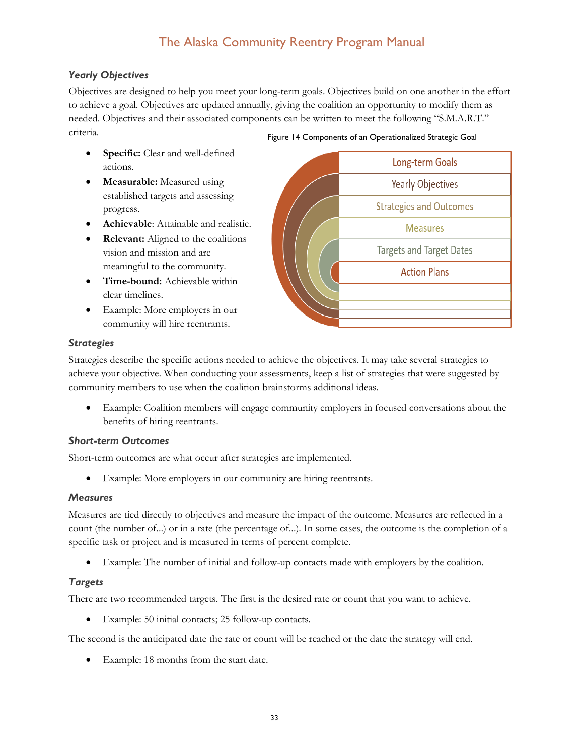#### *Yearly Objectives*

Objectives are designed to help you meet your long-term goals. Objectives build on one another in the effort to achieve a goal. Objectives are updated annually, giving the coalition an opportunity to modify them as needed. Objectives and their associated components can be written to meet the following "S.M.A.R.T." criteria. Figure 14 Components of an Operationalized Strategic Goal

- **Specific:** Clear and well-defined actions.
- **Measurable:** Measured using established targets and assessing progress.
- **Achievable**: Attainable and realistic.
- **Relevant:** Aligned to the coalitions vision and mission and are meaningful to the community.
- **Time-bound:** Achievable within clear timelines.
- Example: More employers in our community will hire reentrants.



#### *Strategies*

Strategies describe the specific actions needed to achieve the objectives. It may take several strategies to achieve your objective. When conducting your assessments, keep a list of strategies that were suggested by community members to use when the coalition brainstorms additional ideas.

• Example: Coalition members will engage community employers in focused conversations about the benefits of hiring reentrants.

#### *Short-term Outcomes*

Short-term outcomes are what occur after strategies are implemented.

Example: More employers in our community are hiring reentrants.

#### *Measures*

Measures are tied directly to objectives and measure the impact of the outcome. Measures are reflected in a count (the number of...) or in a rate (the percentage of...). In some cases, the outcome is the completion of a specific task or project and is measured in terms of percent complete.

• Example: The number of initial and follow-up contacts made with employers by the coalition.

#### *Targets*

There are two recommended targets. The first is the desired rate or count that you want to achieve.

• Example: 50 initial contacts; 25 follow-up contacts*.*

The second is the anticipated date the rate or count will be reached or the date the strategy will end.

Example: 18 months from the start date.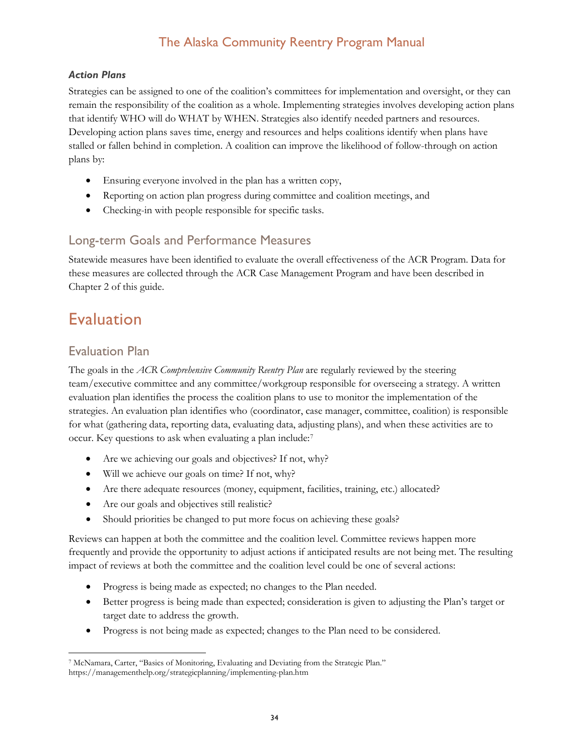## *Action Plans*

Strategies can be assigned to one of the coalition's committees for implementation and oversight, or they can remain the responsibility of the coalition as a whole. Implementing strategies involves developing action plans that identify WHO will do WHAT by WHEN. Strategies also identify needed partners and resources. Developing action plans saves time, energy and resources and helps coalitions identify when plans have stalled or fallen behind in completion. A coalition can improve the likelihood of follow-through on action plans by:

- Ensuring everyone involved in the plan has a written copy,
- Reporting on action plan progress during committee and coalition meetings, and
- Checking-in with people responsible for specific tasks.

## <span id="page-34-0"></span>Long-term Goals and Performance Measures

Statewide measures have been identified to evaluate the overall effectiveness of the ACR Program. Data for these measures are collected through the ACR Case Management Program and have been described in Chapter 2 of this guide.

# <span id="page-34-1"></span>Evaluation

# <span id="page-34-2"></span>Evaluation Plan

The goals in the *ACR Comprehensive Community Reentry Plan* are regularly reviewed by the steering team/executive committee and any committee/workgroup responsible for overseeing a strategy. A written evaluation plan identifies the process the coalition plans to use to monitor the implementation of the strategies. An evaluation plan identifies who (coordinator, case manager, committee, coalition) is responsible for what (gathering data, reporting data, evaluating data, adjusting plans), and when these activities are to occur. Key questions to ask when evaluating a plan include:[7](#page-34-3)

- Are we achieving our goals and objectives? If not, why?
- Will we achieve our goals on time? If not, why?
- Are there adequate resources (money, equipment, facilities, training, etc.) allocated?
- Are our goals and objectives still realistic?
- Should priorities be changed to put more focus on achieving these goals?

Reviews can happen at both the committee and the coalition level. Committee reviews happen more frequently and provide the opportunity to adjust actions if anticipated results are not being met. The resulting impact of reviews at both the committee and the coalition level could be one of several actions:

- Progress is being made as expected; no changes to the Plan needed.
- Better progress is being made than expected; consideration is given to adjusting the Plan's target or target date to address the growth.
- Progress is not being made as expected; changes to the Plan need to be considered.

<span id="page-34-3"></span> <sup>7</sup> McNamara, Carter, "Basics of Monitoring, Evaluating and Deviating from the Strategic Plan." https://managementhelp.org/strategicplanning/implementing-plan.htm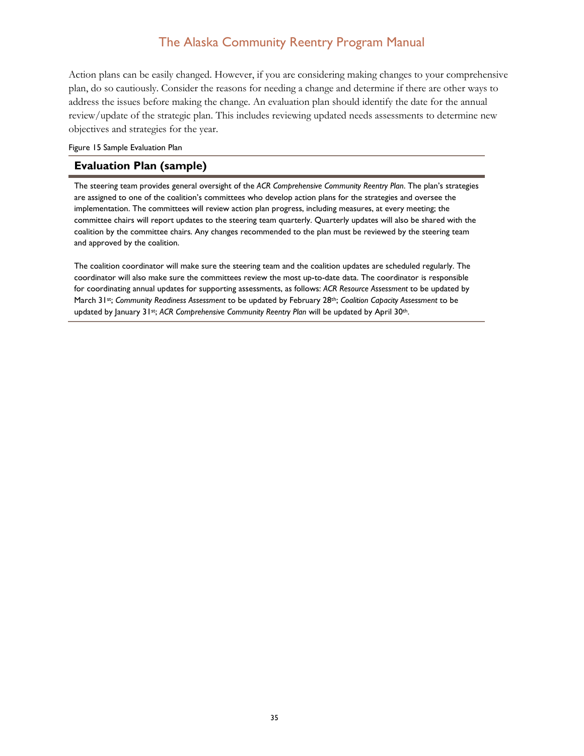Action plans can be easily changed. However, if you are considering making changes to your comprehensive plan, do so cautiously. Consider the reasons for needing a change and determine if there are other ways to address the issues before making the change. An evaluation plan should identify the date for the annual review/update of the strategic plan. This includes reviewing updated needs assessments to determine new objectives and strategies for the year.

#### <span id="page-35-0"></span>Figure 15 Sample Evaluation Plan

#### **Evaluation Plan (sample)**

The steering team provides general oversight of the *ACR Comprehensive Community Reentry Plan*. The plan's strategies are assigned to one of the coalition's committees who develop action plans for the strategies and oversee the implementation. The committees will review action plan progress, including measures, at every meeting; the committee chairs will report updates to the steering team quarterly. Quarterly updates will also be shared with the coalition by the committee chairs. Any changes recommended to the plan must be reviewed by the steering team and approved by the coalition.

The coalition coordinator will make sure the steering team and the coalition updates are scheduled regularly. The coordinator will also make sure the committees review the most up-to-date data. The coordinator is responsible for coordinating annual updates for supporting assessments, as follows: *ACR Resource Assessment* to be updated by March 31st; *Community Readiness Assessment* to be updated by February 28th; *Coalition Capacity Assessment* to be updated by January 31st; *ACR Comprehensive Community Reentry Plan* will be updated by April 30th.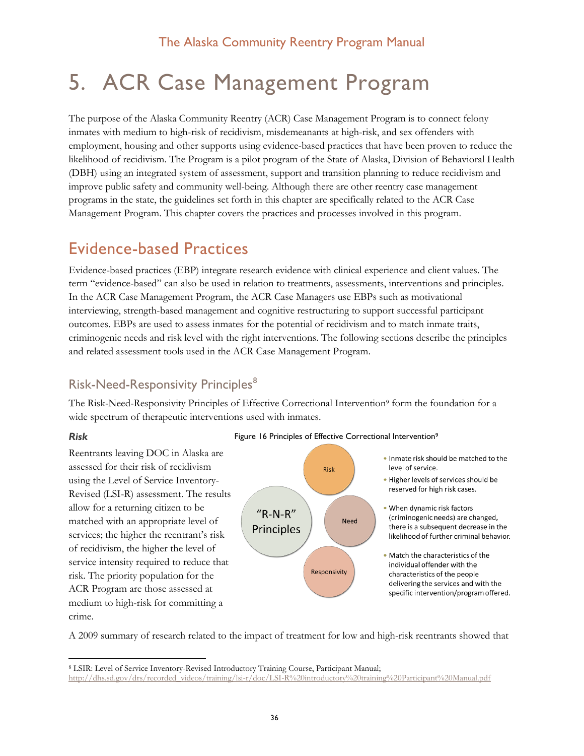# <span id="page-36-0"></span>5. ACR Case Management Program

The purpose of the Alaska Community Reentry (ACR) Case Management Program is to connect felony inmates with medium to high-risk of recidivism, misdemeanants at high-risk, and sex offenders with employment, housing and other supports using evidence-based practices that have been proven to reduce the likelihood of recidivism. The Program is a pilot program of the State of Alaska, Division of Behavioral Health (DBH) using an integrated system of assessment, support and transition planning to reduce recidivism and improve public safety and community well-being. Although there are other reentry case management programs in the state, the guidelines set forth in this chapter are specifically related to the ACR Case Management Program. This chapter covers the practices and processes involved in this program.

# <span id="page-36-1"></span>Evidence-based Practices

Evidence-based practices (EBP) integrate research evidence with clinical experience and client values. The term "evidence-based" can also be used in relation to treatments, assessments, interventions and principles. In the ACR Case Management Program, the ACR Case Managers use EBPs such as motivational interviewing, strength-based management and cognitive restructuring to support successful participant outcomes. EBPs are used to assess inmates for the potential of recidivism and to match inmate traits, criminogenic needs and risk level with the right interventions. The following sections describe the principles and related assessment tools used in the ACR Case Management Program.

# <span id="page-36-2"></span>Risk-Need-Responsivity Principles<sup>[8](#page-36-3)</sup>

The Risk-Need-Responsivity Principles of Effective Correctional Intervention<sup>9</sup> form the foundation for a wide spectrum of therapeutic interventions used with inmates.

#### *Risk*

Reentrants leaving DOC in Alaska are assessed for their risk of recidivism using the Level of Service Inventory-Revised (LSI-R) assessment. The results allow for a returning citizen to be matched with an appropriate level of services; the higher the reentrant's risk of recidivism, the higher the level of service intensity required to reduce that risk. The priority population for the ACR Program are those assessed at medium to high-risk for committing a crime.

#### Figure 16 Principles of Effective Correctional Intervention<sup>9</sup>





- . Higher levels of services should be reserved for high risk cases.
- When dynamic risk factors (criminogenic needs) are changed. there is a subsequent decrease in the likelihood of further criminal behavior.
- . Match the characteristics of the individual offender with the characteristics of the people delivering the services and with the specific intervention/program offered.

A 2009 summary of research related to the impact of treatment for low and high-risk reentrants showed that

<span id="page-36-3"></span> <sup>8</sup> LSIR: Level of Service Inventory-Revised Introductory Training Course, Participant Manual;

[http://dhs.sd.gov/drs/recorded\\_videos/training/lsi-r/doc/LSI-R%20introductory%20training%20Participant%20Manual.pdf](http://dhs.sd.gov/drs/recorded_videos/training/lsi-r/doc/LSI-R%20introductory%20training%20Participant%20Manual.pdf)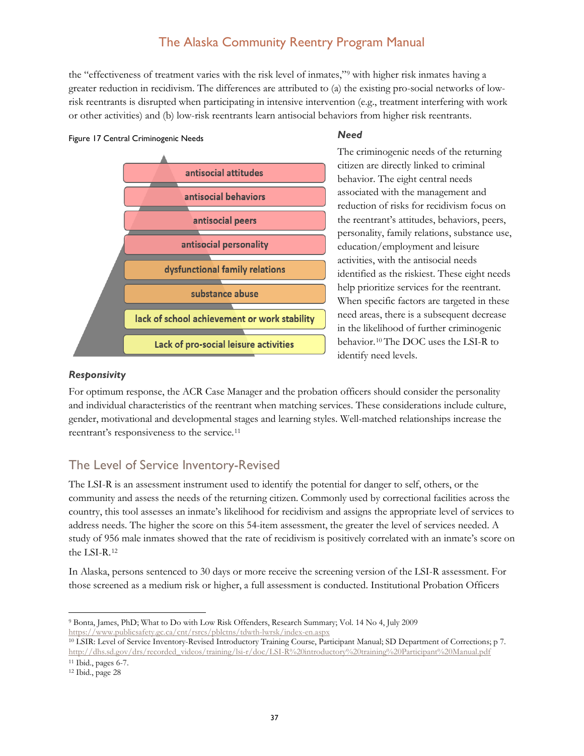the "effectiveness of treatment varies with the risk level of inmates,"[9](#page-37-1) with higher risk inmates having a greater reduction in recidivism. The differences are attributed to (a) the existing pro-social networks of lowrisk reentrants is disrupted when participating in intensive intervention (e.g., treatment interfering with work or other activities) and (b) low-risk reentrants learn antisocial behaviors from higher risk reentrants.

#### Figure 17 Central Criminogenic Needs

#### *Need*



The criminogenic needs of the returning citizen are directly linked to criminal behavior. The eight central needs associated with the management and reduction of risks for recidivism focus on the reentrant's attitudes, behaviors, peers, personality, family relations, substance use, education/employment and leisure activities, with the antisocial needs identified as the riskiest. These eight needs help prioritize services for the reentrant. When specific factors are targeted in these need areas, there is a subsequent decrease in the likelihood of further criminogenic behavior.[10](#page-37-2) The DOC uses the LSI-R to identify need levels.

#### *Responsivity*

For optimum response, the ACR Case Manager and the probation officers should consider the personality and individual characteristics of the reentrant when matching services. These considerations include culture, gender, motivational and developmental stages and learning styles. Well-matched relationships increase the reentrant's responsiveness to the service.[11](#page-37-3)

## <span id="page-37-0"></span>The Level of Service Inventory-Revised

The LSI-R is an assessment instrument used to identify the potential for danger to self, others, or the community and assess the needs of the returning citizen. Commonly used by correctional facilities across the country, this tool assesses an inmate's likelihood for recidivism and assigns the appropriate level of services to address needs. The higher the score on this 54-item assessment, the greater the level of services needed. A study of 956 male inmates showed that the rate of recidivism is positively correlated with an inmate's score on the LSI-R.[12](#page-37-4)

In Alaska, persons sentenced to 30 days or more receive the screening version of the LSI-R assessment. For those screened as a medium risk or higher, a full assessment is conducted. Institutional Probation Officers

<span id="page-37-1"></span> <sup>9</sup> Bonta, James, PhD; What to Do with Low Risk Offenders, Research Summary; Vol. 14 No 4, July 2009 <https://www.publicsafety.gc.ca/cnt/rsrcs/pblctns/tdwth-lwrsk/index-en.aspx>

<span id="page-37-2"></span><sup>10</sup> LSIR: Level of Service Inventory-Revised Introductory Training Course, Participant Manual; SD Department of Corrections; p 7. [http://dhs.sd.gov/drs/recorded\\_videos/training/lsi-r/doc/LSI-R%20introductory%20training%20Participant%20Manual.pdf](http://dhs.sd.gov/drs/recorded_videos/training/lsi-r/doc/LSI-R%20introductory%20training%20Participant%20Manual.pdf) <sup>11</sup> Ibid., pages 6-7.

<span id="page-37-4"></span><span id="page-37-3"></span><sup>12</sup> Ibid., page 28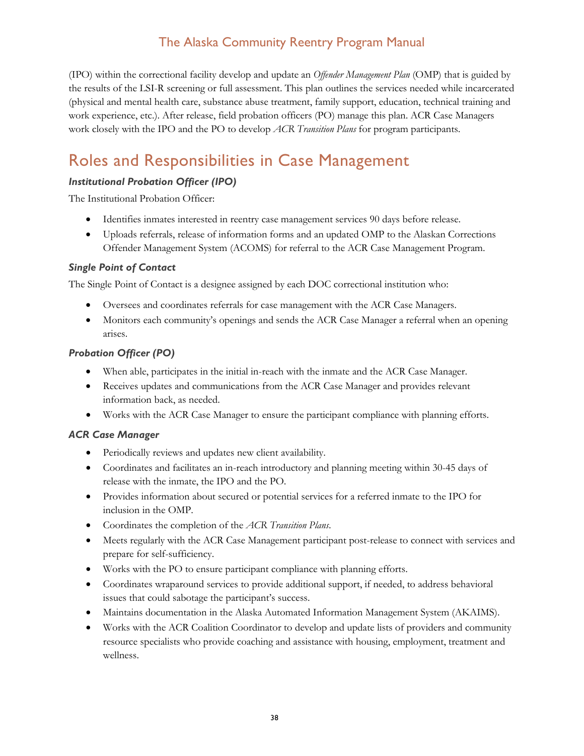(IPO) within the correctional facility develop and update an *Offender Management Plan* (OMP) that is guided by the results of the LSI-R screening or full assessment. This plan outlines the services needed while incarcerated (physical and mental health care, substance abuse treatment, family support, education, technical training and work experience, etc.). After release, field probation officers (PO) manage this plan. ACR Case Managers work closely with the IPO and the PO to develop *ACR Transition Plans* for program participants.

# <span id="page-38-0"></span>Roles and Responsibilities in Case Management

#### *Institutional Probation Officer (IPO)*

The Institutional Probation Officer:

- Identifies inmates interested in reentry case management services 90 days before release.
- Uploads referrals, release of information forms and an updated OMP to the Alaskan Corrections Offender Management System (ACOMS) for referral to the ACR Case Management Program.

## *Single Point of Contact*

The Single Point of Contact is a designee assigned by each DOC correctional institution who:

- Oversees and coordinates referrals for case management with the ACR Case Managers.
- Monitors each community's openings and sends the ACR Case Manager a referral when an opening arises.

## *Probation Officer (PO)*

- When able, participates in the initial in-reach with the inmate and the ACR Case Manager.
- Receives updates and communications from the ACR Case Manager and provides relevant information back, as needed.
- Works with the ACR Case Manager to ensure the participant compliance with planning efforts.

#### *ACR Case Manager*

- Periodically reviews and updates new client availability.
- Coordinates and facilitates an in-reach introductory and planning meeting within 30-45 days of release with the inmate, the IPO and the PO.
- Provides information about secured or potential services for a referred inmate to the IPO for inclusion in the OMP.
- Coordinates the completion of the *ACR Transition Plans*.
- Meets regularly with the ACR Case Management participant post-release to connect with services and prepare for self-sufficiency.
- Works with the PO to ensure participant compliance with planning efforts.
- Coordinates wraparound services to provide additional support, if needed, to address behavioral issues that could sabotage the participant's success.
- Maintains documentation in the Alaska Automated Information Management System (AKAIMS).
- Works with the ACR Coalition Coordinator to develop and update lists of providers and community resource specialists who provide coaching and assistance with housing, employment, treatment and wellness.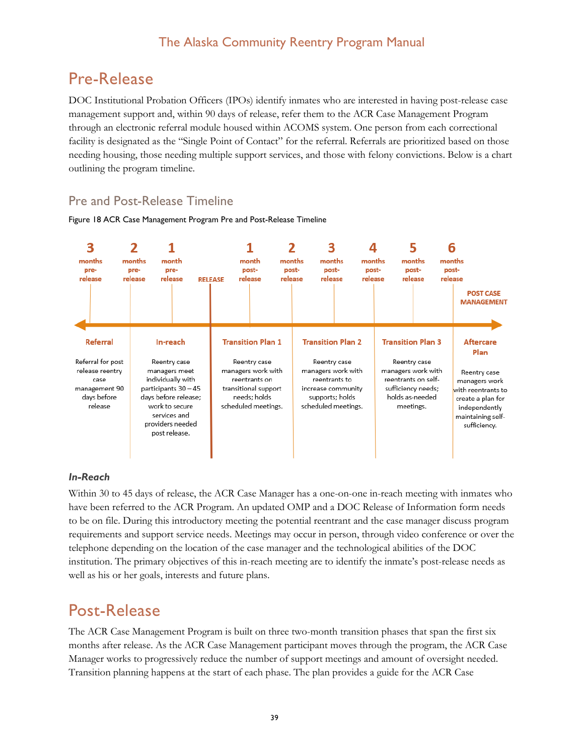# <span id="page-39-0"></span>Pre-Release

DOC Institutional Probation Officers (IPOs) identify inmates who are interested in having post-release case management support and, within 90 days of release, refer them to the ACR Case Management Program through an electronic referral module housed within ACOMS system. One person from each correctional facility is designated as the "Single Point of Contact" for the referral. Referrals are prioritized based on those needing housing, those needing multiple support services, and those with felony convictions. Below is a chart outlining the program timeline.

# <span id="page-39-1"></span>Pre and Post-Release Timeline

#### <span id="page-39-3"></span>Figure 18 ACR Case Management Program Pre and Post-Release Timeline



#### *In-Reach*

Within 30 to 45 days of release, the ACR Case Manager has a one-on-one in-reach meeting with inmates who have been referred to the ACR Program. An updated OMP and a DOC Release of Information form needs to be on file. During this introductory meeting the potential reentrant and the case manager discuss program requirements and support service needs. Meetings may occur in person, through video conference or over the telephone depending on the location of the case manager and the technological abilities of the DOC institution. The primary objectives of this in-reach meeting are to identify the inmate's post-release needs as well as his or her goals, interests and future plans.

# <span id="page-39-2"></span>Post-Release

The ACR Case Management Program is built on three two-month transition phases that span the first six months after release. As the ACR Case Management participant moves through the program, the ACR Case Manager works to progressively reduce the number of support meetings and amount of oversight needed. Transition planning happens at the start of each phase. The plan provides a guide for the ACR Case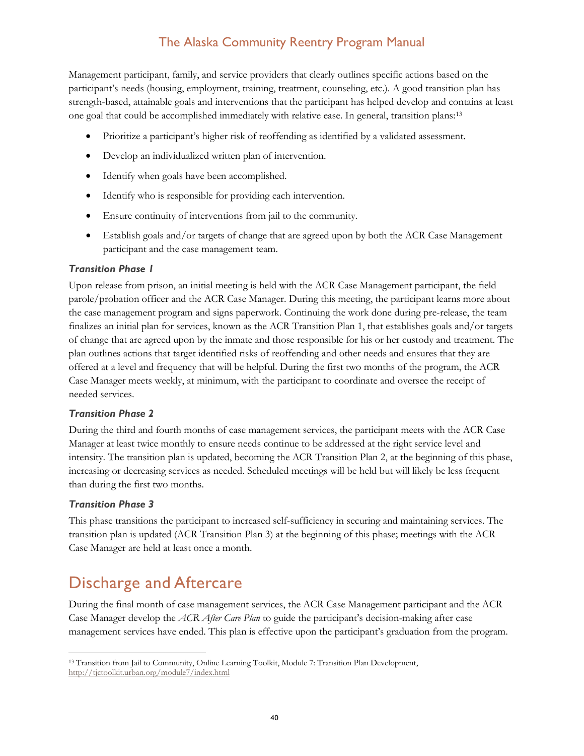Management participant, family, and service providers that clearly outlines specific actions based on the participant's needs (housing, employment, training, treatment, counseling, etc.). A good transition plan has strength-based, attainable goals and interventions that the participant has helped develop and contains at least one goal that could be accomplished immediately with relative ease. In general, transition plans:[13](#page-40-1)

- Prioritize a participant's higher risk of reoffending as identified by a validated assessment.
- Develop an individualized written plan of intervention.
- Identify when goals have been accomplished.
- Identify who is responsible for providing each intervention.
- Ensure continuity of interventions from jail to the community.
- Establish goals and/or targets of change that are agreed upon by both the ACR Case Management participant and the case management team.

#### *Transition Phase 1*

Upon release from prison, an initial meeting is held with the ACR Case Management participant, the field parole/probation officer and the ACR Case Manager. During this meeting, the participant learns more about the case management program and signs paperwork. Continuing the work done during pre-release, the team finalizes an initial plan for services, known as the ACR Transition Plan 1, that establishes goals and/or targets of change that are agreed upon by the inmate and those responsible for his or her custody and treatment. The plan outlines actions that target identified risks of reoffending and other needs and ensures that they are offered at a level and frequency that will be helpful. During the first two months of the program, the ACR Case Manager meets weekly, at minimum, with the participant to coordinate and oversee the receipt of needed services.

#### *Transition Phase 2*

During the third and fourth months of case management services, the participant meets with the ACR Case Manager at least twice monthly to ensure needs continue to be addressed at the right service level and intensity. The transition plan is updated, becoming the ACR Transition Plan 2, at the beginning of this phase, increasing or decreasing services as needed. Scheduled meetings will be held but will likely be less frequent than during the first two months.

#### *Transition Phase 3*

This phase transitions the participant to increased self-sufficiency in securing and maintaining services. The transition plan is updated (ACR Transition Plan 3) at the beginning of this phase; meetings with the ACR Case Manager are held at least once a month.

# <span id="page-40-0"></span>Discharge and Aftercare

During the final month of case management services, the ACR Case Management participant and the ACR Case Manager develop the *ACR After Care Plan* to guide the participant's decision-making after case management services have ended. This plan is effective upon the participant's graduation from the program.

<span id="page-40-1"></span> <sup>13</sup> Transition from Jail to Community, Online Learning Toolkit, Module 7: Transition Plan Development, <http://tjctoolkit.urban.org/module7/index.html>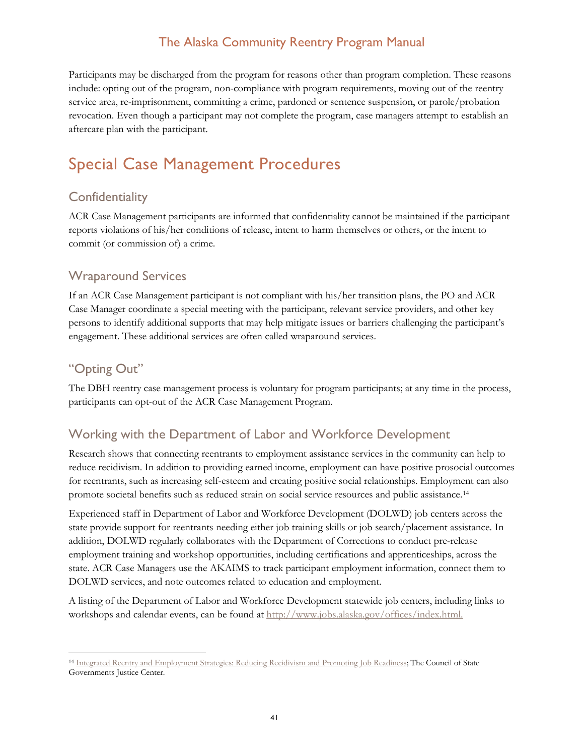Participants may be discharged from the program for reasons other than program completion. These reasons include: opting out of the program, non-compliance with program requirements, moving out of the reentry service area, re-imprisonment, committing a crime, pardoned or sentence suspension, or parole/probation revocation. Even though a participant may not complete the program, case managers attempt to establish an aftercare plan with the participant.

# <span id="page-41-0"></span>Special Case Management Procedures

# <span id="page-41-1"></span>**Confidentiality**

ACR Case Management participants are informed that confidentiality cannot be maintained if the participant reports violations of his/her conditions of release, intent to harm themselves or others, or the intent to commit (or commission of) a crime.

# <span id="page-41-2"></span>Wraparound Services

If an ACR Case Management participant is not compliant with his/her transition plans, the PO and ACR Case Manager coordinate a special meeting with the participant, relevant service providers, and other key persons to identify additional supports that may help mitigate issues or barriers challenging the participant's engagement. These additional services are often called wraparound services.

# <span id="page-41-3"></span>"Opting Out"

The DBH reentry case management process is voluntary for program participants; at any time in the process, participants can opt-out of the ACR Case Management Program.

# <span id="page-41-4"></span>Working with the Department of Labor and Workforce Development

Research shows that connecting reentrants to employment assistance services in the community can help to reduce recidivism. In addition to providing earned income, employment can have positive prosocial outcomes for reentrants, such as increasing self-esteem and creating positive social relationships. Employment can also promote societal benefits such as reduced strain on social service resources and public assistance.[14](#page-41-5)

Experienced staff in Department of Labor and Workforce Development (DOLWD) job centers across the state provide support for reentrants needing either job training skills or job search/placement assistance. In addition, DOLWD regularly collaborates with the Department of Corrections to conduct pre-release employment training and workshop opportunities, including certifications and apprenticeships, across the state. ACR Case Managers use the AKAIMS to track participant employment information, connect them to DOLWD services, and note outcomes related to education and employment.

A listing of the Department of Labor and Workforce Development statewide job centers, including links to workshops and calendar events, can be found at [http://www.jobs.alaska.gov/offices/index.html.](http://www.jobs.alaska.gov/offices/index.html)

<span id="page-41-5"></span><sup>&</sup>lt;sup>14</sup> [Integrated Reentry and Employment Strategies: Reducing Recidivism and Promoting Job Readiness;](https://www.bja.gov/publications/csg-reentry-and-employment.pdf) The Council of State Governments Justice Center.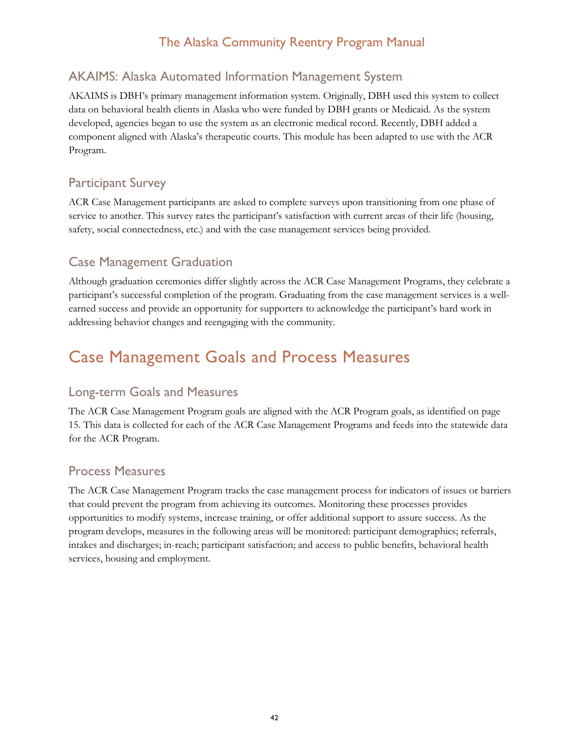# <span id="page-42-0"></span>AKAIMS: Alaska Automated Information Management System

AKAIMS is DBH's primary management information system. Originally, DBH used this system to collect data on behavioral health clients in Alaska who were funded by DBH grants or Medicaid. As the system developed, agencies began to use the system as an electronic medical record. Recently, DBH added a component aligned with Alaska's therapeutic courts. This module has been adapted to use with the ACR Program.

# <span id="page-42-1"></span>Participant Survey

ACR Case Management participants are asked to complete surveys upon transitioning from one phase of service to another. This survey rates the participant's satisfaction with current areas of their life (housing, safety, social connectedness, etc.) and with the case management services being provided.

# <span id="page-42-2"></span>Case Management Graduation

Although graduation ceremonies differ slightly across the ACR Case Management Programs, they celebrate a participant's successful completion of the program. Graduating from the case management services is a wellearned success and provide an opportunity for supporters to acknowledge the participant's hard work in addressing behavior changes and reengaging with the community.

# <span id="page-42-3"></span>Case Management Goals and Process Measures

# <span id="page-42-4"></span>Long-term Goals and Measures

The ACR Case Management Program goals are aligned with the ACR Program goals, as identified on page 15. This data is collected for each of the ACR Case Management Programs and feeds into the statewide data for the ACR Program.

# <span id="page-42-5"></span>Process Measures

The ACR Case Management Program tracks the case management process for indicators of issues or barriers that could prevent the program from achieving its outcomes. Monitoring these processes provides opportunities to modify systems, increase training, or offer additional support to assure success. As the program develops, measures in the following areas will be monitored: participant demographics; referrals, intakes and discharges; in-reach; participant satisfaction; and access to public benefits, behavioral health services, housing and employment.